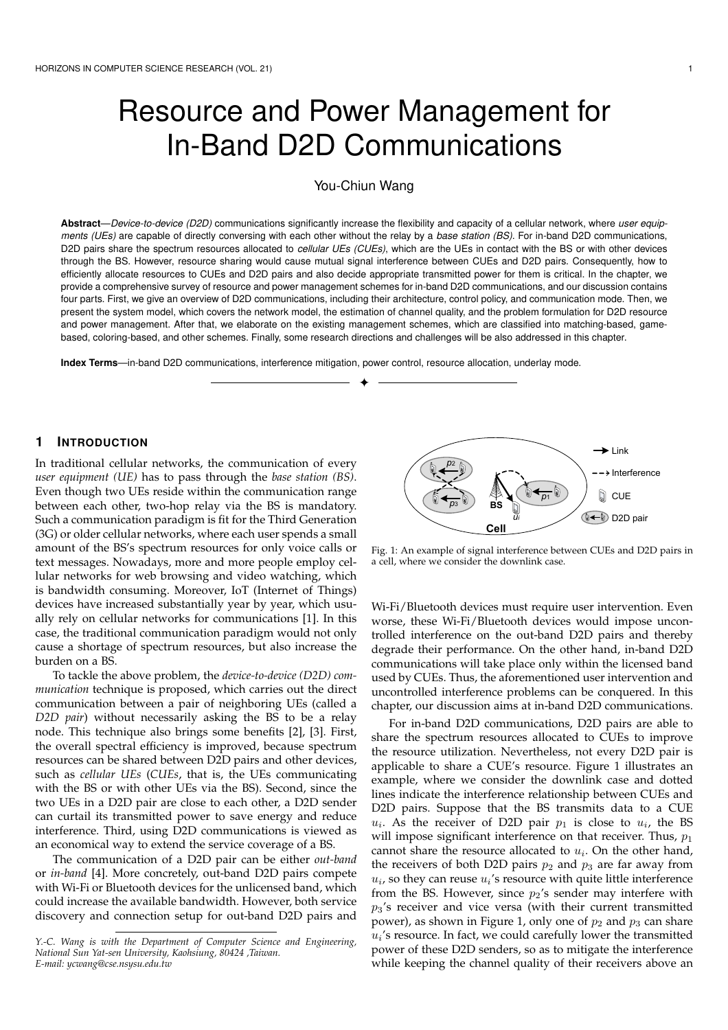# Resource and Power Management for In-Band D2D Communications

You-Chiun Wang

Abstract—Device-to-device (D2D) communications significantly increase the flexibility and capacity of a cellular network, where user equipments (UEs) are capable of directly conversing with each other without the relay by a base station (BS). For in-band D2D communications, D2D pairs share the spectrum resources allocated to cellular UEs (CUEs), which are the UEs in contact with the BS or with other devices through the BS. However, resource sharing would cause mutual signal interference between CUEs and D2D pairs. Consequently, how to efficiently allocate resources to CUEs and D2D pairs and also decide appropriate transmitted power for them is critical. In the chapter, we provide a comprehensive survey of resource and power management schemes for in-band D2D communications, and our discussion contains four parts. First, we give an overview of D2D communications, including their architecture, control policy, and communication mode. Then, we present the system model, which covers the network model, the estimation of channel quality, and the problem formulation for D2D resource and power management. After that, we elaborate on the existing management schemes, which are classified into matching-based, gamebased, coloring-based, and other schemes. Finally, some research directions and challenges will be also addressed in this chapter.

✦

**Index Terms**—in-band D2D communications, interference mitigation, power control, resource allocation, underlay mode.

## **1 INTRODUCTION**

In traditional cellular networks, the communication of every *user equipment (UE)* has to pass through the *base station (BS)*. Even though two UEs reside within the communication range between each other, two-hop relay via the BS is mandatory. Such a communication paradigm is fit for the Third Generation (3G) or older cellular networks, where each user spends a small amount of the BS's spectrum resources for only voice calls or text messages. Nowadays, more and more people employ cellular networks for web browsing and video watching, which is bandwidth consuming. Moreover, IoT (Internet of Things) devices have increased substantially year by year, which usually rely on cellular networks for communications [1]. In this case, the traditional communication paradigm would not only cause a shortage of spectrum resources, but also increase the burden on a BS.

To tackle the above problem, the *device-to-device (D2D) communication* technique is proposed, which carries out the direct communication between a pair of neighboring UEs (called a *D2D pair*) without necessarily asking the BS to be a relay node. This technique also brings some benefits [2], [3]. First, the overall spectral efficiency is improved, because spectrum resources can be shared between D2D pairs and other devices, such as *cellular UEs* (*CUEs*, that is, the UEs communicating with the BS or with other UEs via the BS). Second, since the two UEs in a D2D pair are close to each other, a D2D sender can curtail its transmitted power to save energy and reduce interference. Third, using D2D communications is viewed as an economical way to extend the service coverage of a BS.

The communication of a D2D pair can be either *out-band* or *in-band* [4]. More concretely, out-band D2D pairs compete with Wi-Fi or Bluetooth devices for the unlicensed band, which could increase the available bandwidth. However, both service discovery and connection setup for out-band D2D pairs and



Fig. 1: An example of signal interference between CUEs and D2D pairs in a cell, where we consider the downlink case.

Wi-Fi/Bluetooth devices must require user intervention. Even worse, these Wi-Fi/Bluetooth devices would impose uncontrolled interference on the out-band D2D pairs and thereby degrade their performance. On the other hand, in-band D2D communications will take place only within the licensed band used by CUEs. Thus, the aforementioned user intervention and uncontrolled interference problems can be conquered. In this chapter, our discussion aims at in-band D2D communications.

For in-band D2D communications, D2D pairs are able to share the spectrum resources allocated to CUEs to improve the resource utilization. Nevertheless, not every D2D pair is applicable to share a CUE's resource. Figure 1 illustrates an example, where we consider the downlink case and dotted lines indicate the interference relationship between CUEs and D2D pairs. Suppose that the BS transmits data to a CUE  $u_i$ . As the receiver of D2D pair  $p_1$  is close to  $u_i$ , the BS will impose significant interference on that receiver. Thus,  $p_1$ cannot share the resource allocated to  $u_i$ . On the other hand, the receivers of both D2D pairs  $p_2$  and  $p_3$  are far away from  $u_i$ , so they can reuse  $u_i$ 's resource with quite little interference from the BS. However, since  $p_2$ 's sender may interfere with  $p_3$ 's receiver and vice versa (with their current transmitted power), as shown in Figure 1, only one of  $p_2$  and  $p_3$  can share  $u_i$ 's resource. In fact, we could carefully lower the transmitted power of these D2D senders, so as to mitigate the interference while keeping the channel quality of their receivers above an

*Y.-C. Wang is with the Department of Computer Science and Engineering, National Sun Yat-sen University, Kaohsiung, 80424 ,Taiwan. E-mail: ycwang@cse.nsysu.edu.tw*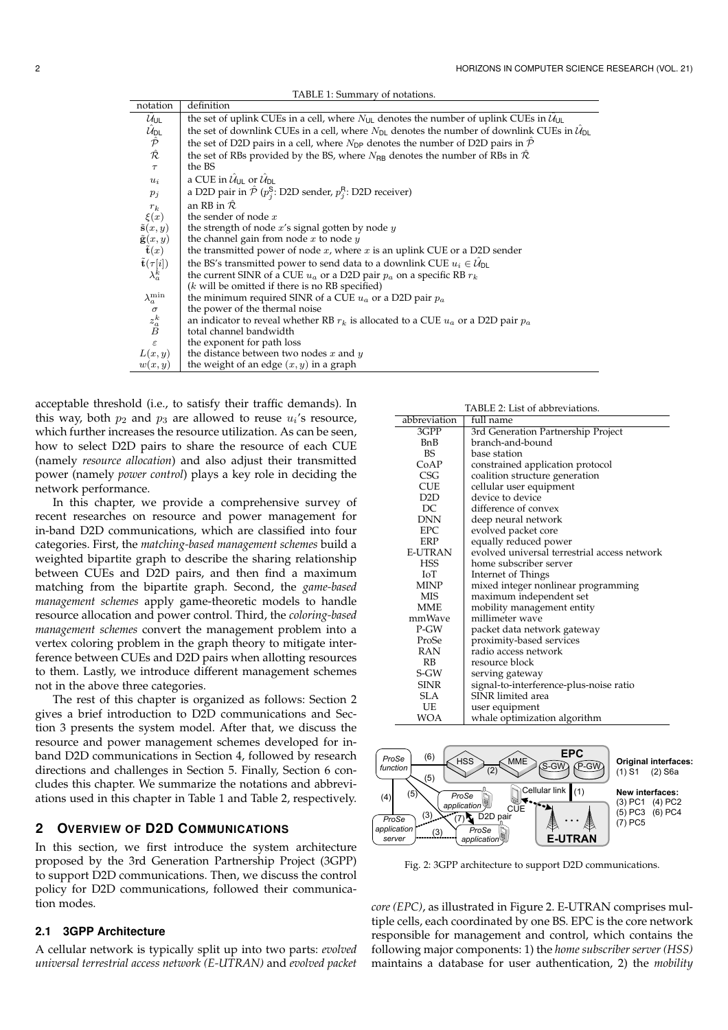| notation                                                                                               | definition                                                                                                             |
|--------------------------------------------------------------------------------------------------------|------------------------------------------------------------------------------------------------------------------------|
| $\mathcal{U}_{\text{UL}}$                                                                              | the set of uplink CUEs in a cell, where $N_{\text{UL}}$ denotes the number of uplink CUEs in $\mathcal{U}_{\text{UL}}$ |
| $\begin{array}{c} \hat{\mathcal{U}}_{\mathsf{DL}}\\ \hat{\mathcal{P}}\\ \hat{\mathcal{R}} \end{array}$ | the set of downlink CUEs in a cell, where $N_{D1}$ denotes the number of downlink CUEs in $\mathcal{U}_{D1}$           |
|                                                                                                        | the set of D2D pairs in a cell, where $N_{DP}$ denotes the number of D2D pairs in $\hat{\mathcal{P}}$                  |
|                                                                                                        | the set of RBs provided by the BS, where $N_{\rm BR}$ denotes the number of RBs in $\mathcal R$                        |
| $\tau$                                                                                                 | the BS                                                                                                                 |
| $u_i$                                                                                                  | a CUE in $\mathcal{U}_{\text{III}}$ or $\mathcal{U}_{\text{DI}}$                                                       |
| $p_i$                                                                                                  | a D2D pair in $\hat{\mathcal{P}}$ ( $p_i^{\mathsf{S}}$ : D2D sender, $p_i^{\mathsf{R}}$ : D2D receiver)                |
| $r_k$                                                                                                  | an RB in $\hat{\mathcal{R}}$                                                                                           |
| $\xi(x)$                                                                                               | the sender of node $x$                                                                                                 |
| $\tilde{\mathbf{s}}(x,y)$                                                                              | the strength of node $x$ 's signal gotten by node $y$                                                                  |
| $\tilde{\mathbf{g}}(x,y)$<br>$\tilde{\mathbf{t}}(x)$                                                   | the channel gain from node $x$ to node $y$                                                                             |
|                                                                                                        | the transmitted power of node $x$ , where $x$ is an uplink CUE or a D2D sender                                         |
| $\tilde{\mathbf{t}}(\tau[i])$                                                                          | the BS's transmitted power to send data to a downlink CUE $u_i \in \mathcal{U}_{\text{DL}}$                            |
| $\lambda_a^k$                                                                                          | the current SINR of a CUE $u_a$ or a D2D pair $p_a$ on a specific RB $r_k$                                             |
|                                                                                                        | $(k$ will be omitted if there is no RB specified)                                                                      |
| $\lambda_a^{\min}$                                                                                     | the minimum required SINR of a CUE $u_a$ or a D2D pair $p_a$                                                           |
| $\sigma$                                                                                               | the power of the thermal noise                                                                                         |
| $\mathbf{z}_a^k$                                                                                       | an indicator to reveal whether RB $r_k$ is allocated to a CUE $u_a$ or a D2D pair $p_a$                                |
|                                                                                                        | total channel bandwidth                                                                                                |
| $\varepsilon$                                                                                          | the exponent for path loss                                                                                             |
| L(x,y)                                                                                                 | the distance between two nodes $x$ and $y$                                                                             |
| w(x,y)                                                                                                 | the weight of an edge $(x, y)$ in a graph                                                                              |
|                                                                                                        |                                                                                                                        |

TABLE 1: Summary of notations.

acceptable threshold (i.e., to satisfy their traffic demands). In this way, both  $p_2$  and  $p_3$  are allowed to reuse  $u_i$ 's resource, which further increases the resource utilization. As can be seen, how to select D2D pairs to share the resource of each CUE (namely *resource allocation*) and also adjust their transmitted power (namely *power control*) plays a key role in deciding the network performance.

In this chapter, we provide a comprehensive survey of recent researches on resource and power management for in-band D2D communications, which are classified into four categories. First, the *matching-based management schemes* build a weighted bipartite graph to describe the sharing relationship between CUEs and D2D pairs, and then find a maximum matching from the bipartite graph. Second, the *game-based management schemes* apply game-theoretic models to handle resource allocation and power control. Third, the *coloring-based management schemes* convert the management problem into a vertex coloring problem in the graph theory to mitigate interference between CUEs and D2D pairs when allotting resources to them. Lastly, we introduce different management schemes not in the above three categories.

The rest of this chapter is organized as follows: Section 2 gives a brief introduction to D2D communications and Section 3 presents the system model. After that, we discuss the resource and power management schemes developed for inband D2D communications in Section 4, followed by research directions and challenges in Section 5. Finally, Section 6 concludes this chapter. We summarize the notations and abbreviations used in this chapter in Table 1 and Table 2, respectively.

# **2 OVERVIEW OF D2D COMMUNICATIONS**

In this section, we first introduce the system architecture proposed by the 3rd Generation Partnership Project (3GPP) to support D2D communications. Then, we discuss the control policy for D2D communications, followed their communication modes.

# **2.1 3GPP Architecture**

A cellular network is typically split up into two parts: *evolved universal terrestrial access network (E-UTRAN)* and *evolved packet*

| TABLE 2: List of abbreviations. |                                              |  |  |  |
|---------------------------------|----------------------------------------------|--|--|--|
| abbreviation                    | full name                                    |  |  |  |
| 3GPP                            | 3rd Generation Partnership Project           |  |  |  |
| BnB                             | branch-and-bound                             |  |  |  |
| BS                              | base station                                 |  |  |  |
| CoAP                            | constrained application protocol             |  |  |  |
| CSG                             | coalition structure generation               |  |  |  |
| <b>CUE</b>                      | cellular user equipment                      |  |  |  |
| D2D                             | device to device                             |  |  |  |
| DC                              | difference of convex                         |  |  |  |
| <b>DNN</b>                      | deep neural network                          |  |  |  |
| EPC                             | evolved packet core                          |  |  |  |
| ERP                             | equally reduced power                        |  |  |  |
| <b>E-UTRAN</b>                  | evolved universal terrestrial access network |  |  |  |
| HSS                             | home subscriber server                       |  |  |  |
| IoT                             | Internet of Things                           |  |  |  |
| MINP                            | mixed integer nonlinear programming          |  |  |  |
| MIS                             | maximum independent set                      |  |  |  |
| MME                             | mobility management entity                   |  |  |  |
| mmWave                          | millimeter wave                              |  |  |  |
| P-GW                            | packet data network gateway                  |  |  |  |
| ProSe                           | proximity-based services                     |  |  |  |
| RAN                             | radio access network                         |  |  |  |
| RB                              | resource block                               |  |  |  |
| S-GW                            | serving gateway                              |  |  |  |
| <b>SINR</b>                     | signal-to-interference-plus-noise ratio      |  |  |  |
| SLA                             | SINR limited area                            |  |  |  |
| UE                              | user equipment                               |  |  |  |
| WOA                             | whale optimization algorithm                 |  |  |  |



Fig. 2: 3GPP architecture to support D2D communications.

*core (EPC)*, as illustrated in Figure 2. E-UTRAN comprises multiple cells, each coordinated by one BS. EPC is the core network responsible for management and control, which contains the following major components: 1) the *home subscriber server (HSS)* maintains a database for user authentication, 2) the *mobility*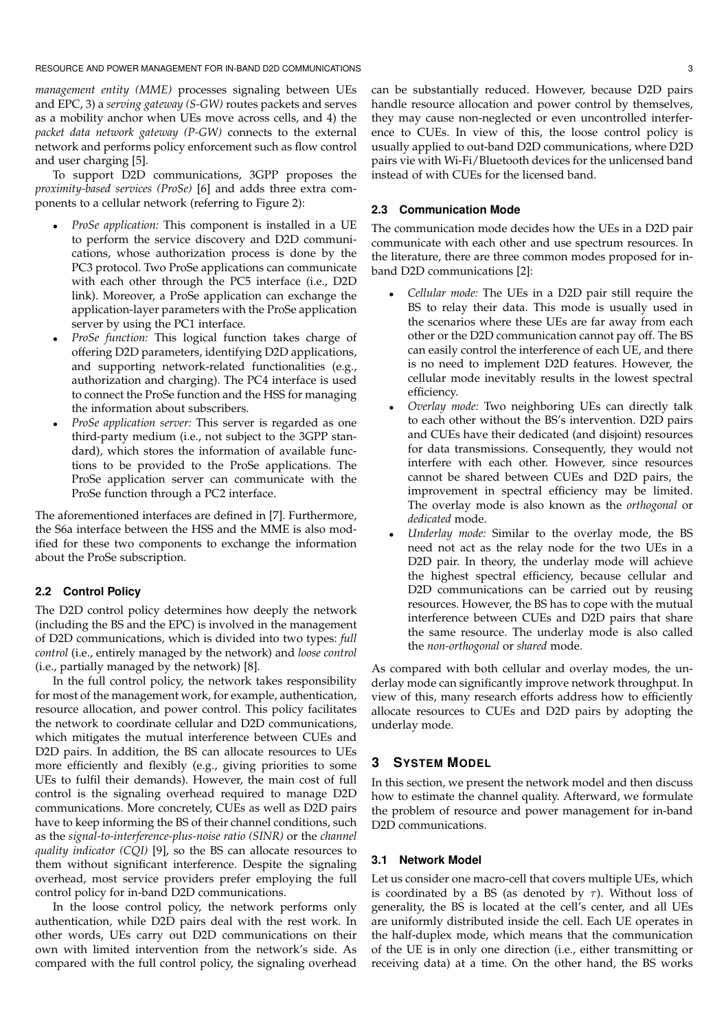RESOURCE AND POWER MANAGEMENT FOR IN-BAND D2D COMMUNICATIONS 3

*management entity (MME)* processes signaling between UEs and EPC, 3) a *serving gateway (S-GW)* routes packets and serves as a mobility anchor when UEs move across cells, and 4) the *packet data network gateway (P-GW)* connects to the external network and performs policy enforcement such as flow control and user charging [5].

To support D2D communications, 3GPP proposes the *proximity-based services (ProSe)* [6] and adds three extra components to a cellular network (referring to Figure 2):

- *ProSe application:* This component is installed in a UE to perform the service discovery and D2D communications, whose authorization process is done by the PC3 protocol. Two ProSe applications can communicate with each other through the PC5 interface (i.e., D2D link). Moreover, a ProSe application can exchange the application-layer parameters with the ProSe application server by using the PC1 interface.
- *ProSe function:* This logical function takes charge of offering D2D parameters, identifying D2D applications, and supporting network-related functionalities (e.g., authorization and charging). The PC4 interface is used to connect the ProSe function and the HSS for managing the information about subscribers.
- *ProSe application server:* This server is regarded as one third-party medium (i.e., not subject to the 3GPP standard), which stores the information of available functions to be provided to the ProSe applications. The ProSe application server can communicate with the ProSe function through a PC2 interface.

The aforementioned interfaces are defined in [7]. Furthermore, the S6a interface between the HSS and the MME is also modified for these two components to exchange the information about the ProSe subscription.

## **2.2 Control Policy**

The D2D control policy determines how deeply the network (including the BS and the EPC) is involved in the management of D2D communications, which is divided into two types: *full control* (i.e., entirely managed by the network) and *loose control* (i.e., partially managed by the network) [8].

In the full control policy, the network takes responsibility for most of the management work, for example, authentication, resource allocation, and power control. This policy facilitates the network to coordinate cellular and D2D communications, which mitigates the mutual interference between CUEs and D2D pairs. In addition, the BS can allocate resources to UEs more efficiently and flexibly (e.g., giving priorities to some UEs to fulfil their demands). However, the main cost of full control is the signaling overhead required to manage D2D communications. More concretely, CUEs as well as D2D pairs have to keep informing the BS of their channel conditions, such as the *signal-to-interference-plus-noise ratio (SINR)* or the *channel quality indicator (CQI)* [9], so the BS can allocate resources to them without significant interference. Despite the signaling overhead, most service providers prefer employing the full control policy for in-band D2D communications.

In the loose control policy, the network performs only authentication, while D2D pairs deal with the rest work. In other words, UEs carry out D2D communications on their own with limited intervention from the network's side. As compared with the full control policy, the signaling overhead can be substantially reduced. However, because D2D pairs handle resource allocation and power control by themselves, they may cause non-neglected or even uncontrolled interference to CUEs. In view of this, the loose control policy is usually applied to out-band D2D communications, where D2D pairs vie with Wi-Fi/Bluetooth devices for the unlicensed band instead of with CUEs for the licensed band.

## **2.3 Communication Mode**

The communication mode decides how the UEs in a D2D pair communicate with each other and use spectrum resources. In the literature, there are three common modes proposed for inband D2D communications [2]:

- *Cellular mode:* The UEs in a D2D pair still require the BS to relay their data. This mode is usually used in the scenarios where these UEs are far away from each other or the D2D communication cannot pay off. The BS can easily control the interference of each UE, and there is no need to implement D2D features. However, the cellular mode inevitably results in the lowest spectral efficiency.
- *Overlay mode:* Two neighboring UEs can directly talk to each other without the BS's intervention. D2D pairs and CUEs have their dedicated (and disjoint) resources for data transmissions. Consequently, they would not interfere with each other. However, since resources cannot be shared between CUEs and D2D pairs, the improvement in spectral efficiency may be limited. The overlay mode is also known as the *orthogonal* or *dedicated* mode.
- *Underlay mode:* Similar to the overlay mode, the BS need not act as the relay node for the two UEs in a D2D pair. In theory, the underlay mode will achieve the highest spectral efficiency, because cellular and D2D communications can be carried out by reusing resources. However, the BS has to cope with the mutual interference between CUEs and D2D pairs that share the same resource. The underlay mode is also called the *non-orthogonal* or *shared* mode.

As compared with both cellular and overlay modes, the underlay mode can significantly improve network throughput. In view of this, many research efforts address how to efficiently allocate resources to CUEs and D2D pairs by adopting the underlay mode.

# **3 SYSTEM MODEL**

In this section, we present the network model and then discuss how to estimate the channel quality. Afterward, we formulate the problem of resource and power management for in-band D2D communications.

## **3.1 Network Model**

Let us consider one macro-cell that covers multiple UEs, which is coordinated by a BS (as denoted by  $\tau$ ). Without loss of generality, the BS is located at the cell's center, and all UEs are uniformly distributed inside the cell. Each UE operates in the half-duplex mode, which means that the communication of the UE is in only one direction (i.e., either transmitting or receiving data) at a time. On the other hand, the BS works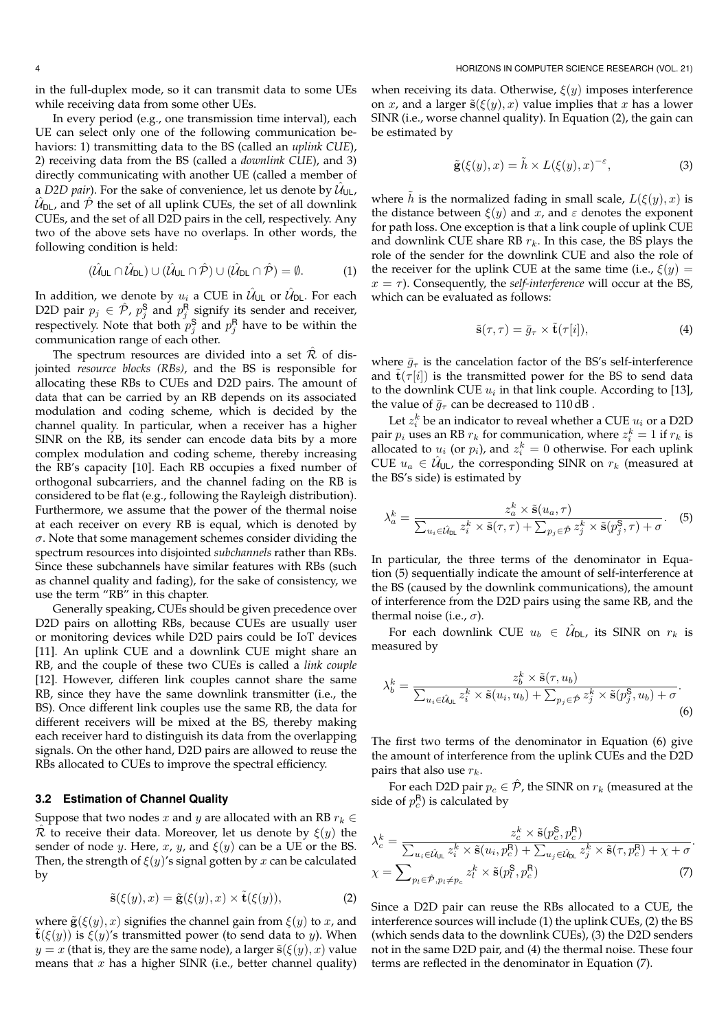in the full-duplex mode, so it can transmit data to some UEs while receiving data from some other UEs.

In every period (e.g., one transmission time interval), each UE can select only one of the following communication behaviors: 1) transmitting data to the BS (called an *uplink CUE*), 2) receiving data from the BS (called a *downlink CUE*), and 3) directly communicating with another UE (called a member of a *D2D pair*). For the sake of convenience, let us denote by  $\hat{\mathcal{U}}_{\mathsf{UL}}$ ,  $\hat{\mathcal{U}}_\mathsf{DL}$ , and  $\hat{\mathcal{P}}$  the set of all uplink CUEs, the set of all downlink CUEs, and the set of all D2D pairs in the cell, respectively. Any two of the above sets have no overlaps. In other words, the following condition is held:

$$
(\hat{\mathcal{U}}_{\text{UL}} \cap \hat{\mathcal{U}}_{\text{DL}}) \cup (\hat{\mathcal{U}}_{\text{UL}} \cap \hat{\mathcal{P}}) \cup (\hat{\mathcal{U}}_{\text{DL}} \cap \hat{\mathcal{P}}) = \emptyset.
$$
 (1)

In addition, we denote by  $u_i$  a CUE in  $\hat{\mathcal{U}}_{\mathsf{UL}}$  or  $\hat{\mathcal{U}}_{\mathsf{DL}}.$  For each D2D pair  $p_j \in \hat{\mathcal{P}}$ ,  $p_j^{\mathsf{S}}$  and  $p_j^{\mathsf{R}}$  signify its sender and receiver, respectively. Note that both  $p_j^{\mathsf{S}}$  and  $p_j^{\mathsf{R}}$  have to be within the communication range of each other.

The spectrum resources are divided into a set  $\hat{\mathcal{R}}$  of disjointed *resource blocks (RBs)*, and the BS is responsible for allocating these RBs to CUEs and D2D pairs. The amount of data that can be carried by an RB depends on its associated modulation and coding scheme, which is decided by the channel quality. In particular, when a receiver has a higher SINR on the RB, its sender can encode data bits by a more complex modulation and coding scheme, thereby increasing the RB's capacity [10]. Each RB occupies a fixed number of orthogonal subcarriers, and the channel fading on the RB is considered to be flat (e.g., following the Rayleigh distribution). Furthermore, we assume that the power of the thermal noise at each receiver on every RB is equal, which is denoted by  $\sigma$ . Note that some management schemes consider dividing the spectrum resources into disjointed *subchannels* rather than RBs. Since these subchannels have similar features with RBs (such as channel quality and fading), for the sake of consistency, we use the term "RB" in this chapter.

Generally speaking, CUEs should be given precedence over D2D pairs on allotting RBs, because CUEs are usually user or monitoring devices while D2D pairs could be IoT devices [11]. An uplink CUE and a downlink CUE might share an RB, and the couple of these two CUEs is called a *link couple* [12]. However, differen link couples cannot share the same RB, since they have the same downlink transmitter (i.e., the BS). Once different link couples use the same RB, the data for different receivers will be mixed at the BS, thereby making each receiver hard to distinguish its data from the overlapping signals. On the other hand, D2D pairs are allowed to reuse the RBs allocated to CUEs to improve the spectral efficiency.

#### **3.2 Estimation of Channel Quality**

Suppose that two nodes x and y are allocated with an RB  $r_k \in$  $R$  to receive their data. Moreover, let us denote by  $\xi(y)$  the sender of node *y*. Here, *x*, *y*, and  $\xi(y)$  can be a UE or the BS. Then, the strength of  $\xi(y)$ 's signal gotten by x can be calculated by

$$
\tilde{\mathbf{s}}(\xi(y),x) = \tilde{\mathbf{g}}(\xi(y),x) \times \tilde{\mathbf{t}}(\xi(y)),\tag{2}
$$

where  $\tilde{\mathbf{g}}(\xi(y),x)$  signifies the channel gain from  $\xi(y)$  to x, and  $\mathbf{t}(\xi(y))$  is  $\xi(y)$ 's transmitted power (to send data to y). When  $y = x$  (that is, they are the same node), a larger  $\tilde{\mathbf{s}}(\xi(y), x)$  value means that  $x$  has a higher SINR (i.e., better channel quality)

when receiving its data. Otherwise,  $\xi(y)$  imposes interference on x, and a larger  $\tilde{\mathbf{s}}(\xi(y),x)$  value implies that x has a lower SINR (i.e., worse channel quality). In Equation (2), the gain can be estimated by

$$
\tilde{\mathbf{g}}(\xi(y),x) = \tilde{h} \times L(\xi(y),x)^{-\varepsilon},\tag{3}
$$

where h is the normalized fading in small scale,  $L(\xi(y), x)$  is the distance between  $\xi(y)$  and x, and  $\varepsilon$  denotes the exponent for path loss. One exception is that a link couple of uplink CUE and downlink CUE share RB  $r_k$ . In this case, the BS plays the role of the sender for the downlink CUE and also the role of the receiver for the uplink CUE at the same time (i.e.,  $\xi(y) =$  $x = \tau$ ). Consequently, the *self-interference* will occur at the BS, which can be evaluated as follows:

$$
\tilde{\mathbf{s}}(\tau,\tau) = \bar{g}_{\tau} \times \tilde{\mathbf{t}}(\tau[i]),\tag{4}
$$

where  $\bar{g}_{\tau}$  is the cancelation factor of the BS's self-interference and  $\tilde{\mathbf{t}}(\tau[i])$  is the transmitted power for the BS to send data to the downlink CUE  $u_i$  in that link couple. According to [13], the value of  $\bar{g}_{\tau}$  can be decreased to 110 dB.

Let  $z_i^k$  be an indicator to reveal whether a CUE  $u_i$  or a D2D pair  $p_i$  uses an RB  $r_k$  for communication, where  $z_i^k = 1$  if  $r_k$  is allocated to  $u_i$  (or  $p_i$ ), and  $z_i^k = 0$  otherwise. For each uplink CUE  $u_a \in \hat{\mathcal{U}}_{\cup L}$ , the corresponding SINR on  $r_k$  (measured at the BS's side) is estimated by

$$
\lambda_a^k = \frac{z_a^k \times \tilde{\mathbf{s}}(u_a, \tau)}{\sum_{u_i \in \hat{\mathcal{U}}_{\text{DL}}} z_i^k \times \tilde{\mathbf{s}}(\tau, \tau) + \sum_{p_j \in \hat{\mathcal{P}}} z_j^k \times \tilde{\mathbf{s}}(p_j^{\mathsf{S}}, \tau) + \sigma}.
$$
 (5)

In particular, the three terms of the denominator in Equation (5) sequentially indicate the amount of self-interference at the BS (caused by the downlink communications), the amount of interference from the D2D pairs using the same RB, and the thermal noise (i.e.,  $\sigma$ ).

For each downlink CUE  $u_b$   $\in$   $\hat{\mathcal{U}}_{\mathsf{DL}}$ , its SINR on  $r_k$  is measured by

$$
\lambda_b^k = \frac{z_b^k \times \tilde{\mathbf{s}}(\tau, u_b)}{\sum_{u_i \in \hat{\mathcal{U}}_{\text{UL}}} z_i^k \times \tilde{\mathbf{s}}(u_i, u_b) + \sum_{p_j \in \hat{\mathcal{P}}} z_j^k \times \tilde{\mathbf{s}}(p_j^{\mathbf{S}}, u_b) + \sigma}.
$$
\n(6)

The first two terms of the denominator in Equation (6) give the amount of interference from the uplink CUEs and the D2D pairs that also use  $r_k$ .

For each D2D pair  $p_c \in \hat{\mathcal{P}}$ , the SINR on  $r_k$  (measured at the side of  $p_c^{\mathsf{R}}$ ) is calculated by

$$
\lambda_c^k = \frac{z_c^k \times \tilde{\mathbf{s}}(p_c^{\mathbf{S}}, p_c^{\mathbf{R}})}{\sum_{u_i \in \hat{\mathcal{U}}_{\mathsf{UL}}} z_i^k \times \tilde{\mathbf{s}}(u_i, p_c^{\mathbf{R}}) + \sum_{u_j \in \hat{\mathcal{U}}_{\mathsf{DL}}} z_j^k \times \tilde{\mathbf{s}}(\tau, p_c^{\mathbf{R}}) + \chi + \sigma}.
$$
\n
$$
\chi = \sum_{p_l \in \hat{\mathcal{P}}, p_l \neq p_c} z_l^k \times \tilde{\mathbf{s}}(p_l^{\mathbf{S}}, p_c^{\mathbf{R}})
$$
\n(7)

Since a D2D pair can reuse the RBs allocated to a CUE, the interference sources will include (1) the uplink CUEs, (2) the BS (which sends data to the downlink CUEs), (3) the D2D senders not in the same D2D pair, and (4) the thermal noise. These four terms are reflected in the denominator in Equation (7).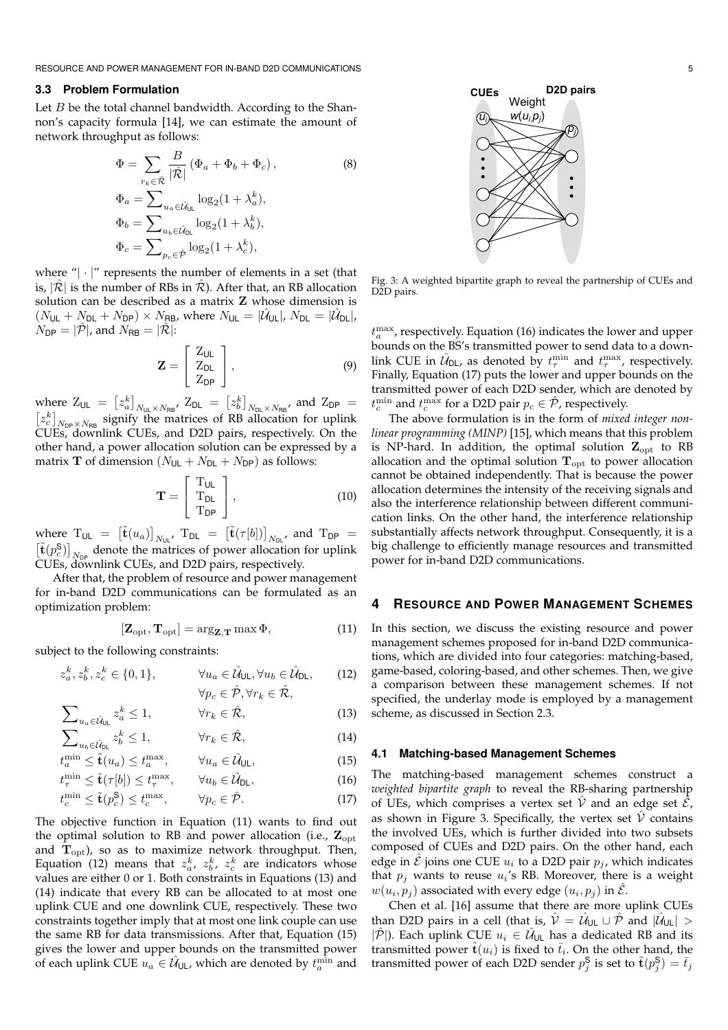RESOURCE AND POWER MANAGEMENT FOR IN-BAND D2D COMMUNICATIONS 5

## **3.3 Problem Formulation**

Let  $B$  be the total channel bandwidth. According to the Shannon's capacity formula [14], we can estimate the amount of network throughput as follows:

$$
\Phi = \sum_{r_k \in \hat{\mathcal{R}}} \frac{B}{|\hat{\mathcal{R}}|} (\Phi_a + \Phi_b + \Phi_c),
$$
\n
$$
\Phi_a = \sum_{u_a \in \hat{\mathcal{U}}_{\text{UL}}} \log_2(1 + \lambda_a^k),
$$
\n
$$
\Phi_b = \sum_{u_b \in \hat{\mathcal{U}}_{\text{DL}}} \log_2(1 + \lambda_b^k),
$$
\n
$$
\Phi_c = \sum_{p_c \in \hat{\mathcal{P}}} \log_2(1 + \lambda_c^k),
$$
\n(8)

where " $|\cdot|$ " represents the number of elements in a set (that is,  $|\mathcal{R}|$  is the number of RBs in  $\mathcal{R}$ ). After that, an RB allocation solution can be described as a matrix Z whose dimension is  $(N_{\mathsf{UL}}+N_{\mathsf{DL}}+N_{\mathsf{DP}})\times N_{\mathsf{RB}}$ , where  $N_{\mathsf{UL}}=|\hat{\mathcal{U}}_{\mathsf{UL}}|$ ,  $N_{\mathsf{DL}}=|\hat{\mathcal{U}}_{\mathsf{DL}}|$ ,  $N_{\text{DP}} = |\hat{\mathcal{P}}|$ , and  $N_{\text{RB}} = |\hat{\mathcal{R}}|$ :

$$
\mathbf{Z} = \left[ \begin{array}{c} Z_{\text{UL}} \\ Z_{\text{DL}} \\ Z_{\text{DP}} \end{array} \right],\tag{9}
$$

where  $Z_{\text{UL}} = [z_a^k]_{N_{\text{UL}} \times N_{\text{RB}}}$ ,  $Z_{\text{DL}} = [z_b^k]_{N_{\text{DL}} \times N_{\text{RB}}}$ , and  $Z_{\text{DP}} =$  $[z_c^k]_{N_{\text{DP}} \times N_{\text{RB}}}$  signify the matrices of RB allocation for uplink CUEs, downlink CUEs, and D2D pairs, respectively. On the other hand, a power allocation solution can be expressed by a matrix **T** of dimension  $(N_{UL} + N_{DL} + N_{DP})$  as follows:

$$
\mathbf{T} = \left[ \begin{array}{c} T_{\mathsf{UL}} \\ T_{\mathsf{DL}} \\ T_{\mathsf{DP}} \end{array} \right],\tag{10}
$$

where  $T_{UL} = [\tilde{\mathbf{t}}(u_a)]_{N_{UL}}$ ,  $T_{DL} = [\tilde{\mathbf{t}}(\tau[b])]_{N_{DL}}$ , and  $T_{DP} =$  $\left[\tilde{\mathbf{t}}(p_c^{\mathsf{S}})\right]_{N_{\text{DP}}}$  denote the matrices of power allocation for uplink CUEs, downlink CUEs, and D2D pairs, respectively.

After that, the problem of resource and power management for in-band D2D communications can be formulated as an optimization problem:

$$
[\mathbf{Z}_{\mathrm{opt}}, \mathbf{T}_{\mathrm{opt}}] = \arg_{\mathbf{Z}, \mathbf{T}} \max \Phi,\tag{11}
$$

subject to the following constraints:

$$
z_a^k, z_b^k, z_c^k \in \{0, 1\}, \qquad \forall u_a \in \hat{\mathcal{U}}_{\mathsf{UL}}, \forall u_b \in \hat{\mathcal{U}}_{\mathsf{DL}}, \qquad (12)
$$

$$
\forall p_c \in \hat{\mathcal{P}}, \forall r_k \in \hat{\mathcal{R}},
$$

$$
\sum_{u_a \in \hat{\mathcal{U}}_{\text{UL}}} z_a^k \le 1, \qquad \forall r_k \in \hat{\mathcal{R}}, \tag{13}
$$

$$
\sum_{u_b \in \hat{\mathcal{U}}_{0\mathsf{L}}} z_b^k \le 1, \qquad \forall r_k \in \hat{\mathcal{R}}, \tag{14}
$$

 $t_a^{\min} \leq \tilde{\mathbf{t}}(u_a) \leq t_a^{\max}, \qquad \forall u_a \in \hat{\mathcal{U}}$  $(15)$ 

$$
t_{\tau}^{\min} \leq \tilde{\mathbf{t}}(\tau[b]) \leq t_{\tau}^{\max}, \qquad \forall u_b \in \hat{\mathcal{U}}_{\text{DL}}, \tag{16}
$$

$$
t_c^{\min} \le \tilde{\mathbf{t}}(p_c^{\mathbf{S}}) \le t_c^{\max}, \qquad \forall p_c \in \hat{\mathcal{P}}. \tag{17}
$$

The objective function in Equation (11) wants to find out the optimal solution to RB and power allocation (i.e.,  $\mathbf{Z}_{\text{opt}}$ and  $T_{\text{opt}}$ ), so as to maximize network throughput. Then, Equation (12) means that  $z_a^k$ ,  $z_b^k$ ,  $z_c^k$  are indicators whose values are either 0 or 1. Both constraints in Equations (13) and (14) indicate that every RB can be allocated to at most one uplink CUE and one downlink CUE, respectively. These two constraints together imply that at most one link couple can use the same RB for data transmissions. After that, Equation (15) gives the lower and upper bounds on the transmitted power of each uplink CUE  $u_a \in \hat{\mathcal{U}}_{\cup L}$ , which are denoted by  $t_a^{\min}$  and



Fig. 3: A weighted bipartite graph to reveal the partnership of CUEs and D<sub>2D</sub> pairs.

 $t_a^{\text{max}}$ , respectively. Equation (16) indicates the lower and upper bounds on the BS's transmitted power to send data to a downlink CUE in  $\hat{\mathcal{U}}_{DL}$ , as denoted by  $t_{\tau}^{\min}$  and  $t_{\tau}^{\max}$ , respectively. Finally, Equation (17) puts the lower and upper bounds on the transmitted power of each D2D sender, which are denoted by  $t_c^{\text{min}}$  and  $t_c^{\text{max}}$  for a D2D pair  $p_c \in \hat{\mathcal{P}}$ , respectively.

The above formulation is in the form of *mixed integer nonlinear programming (MINP)* [15], which means that this problem is NP-hard. In addition, the optimal solution  $Z_{opt}$  to RB allocation and the optimal solution  $T_{opt}$  to power allocation cannot be obtained independently. That is because the power allocation determines the intensity of the receiving signals and also the interference relationship between different communication links. On the other hand, the interference relationship substantially affects network throughput. Consequently, it is a big challenge to efficiently manage resources and transmitted power for in-band D2D communications.

## **4 RESOURCE AND POWER MANAGEMENT SCHEMES**

In this section, we discuss the existing resource and power management schemes proposed for in-band D2D communications, which are divided into four categories: matching-based, game-based, coloring-based, and other schemes. Then, we give a comparison between these management schemes. If not specified, the underlay mode is employed by a management scheme, as discussed in Section 2.3.

#### **4.1 Matching-based Management Schemes**

The matching-based management schemes construct a *weighted bipartite graph* to reveal the RB-sharing partnership of UEs, which comprises a vertex set  $\hat{V}$  and an edge set  $\hat{\mathcal{E}}$ , as shown in Figure 3. Specifically, the vertex set  $\hat{V}$  contains the involved UEs, which is further divided into two subsets composed of CUEs and D2D pairs. On the other hand, each edge in  $\hat{\mathcal{E}}$  joins one CUE  $u_i$  to a D2D pair  $p_j$ , which indicates that  $p_j$  wants to reuse  $u_i$ 's RB. Moreover, there is a weight  $w(u_i, p_j)$  associated with every edge  $(u_i, p_j)$  in  $\hat{\mathcal{E}}$ .

Chen et al. [16] assume that there are more uplink CUEs than D2D pairs in a cell (that is,  $\hat{\cal V}=\hat{\cal U}_{\sf UL}\cup\hat{\cal P}$  and  $|\hat{\cal U}_{\sf UL}|>0$  $|\hat{\mathcal{P}}|$ ). Each uplink CUE  $u_i \in \hat{\mathcal{U}}_{\cup L}$  has a dedicated RB and its transmitted power  $\tilde{\mathbf{t}}(u_i)$  is fixed to  $\bar{t}_i$ . On the other hand, the transmitted power of each D2D sender  $p_j^{\mathsf{S}}$  is set to  $\tilde{\mathbf{t}}(p_j^{\mathsf{S}}) = \bar{t}_j$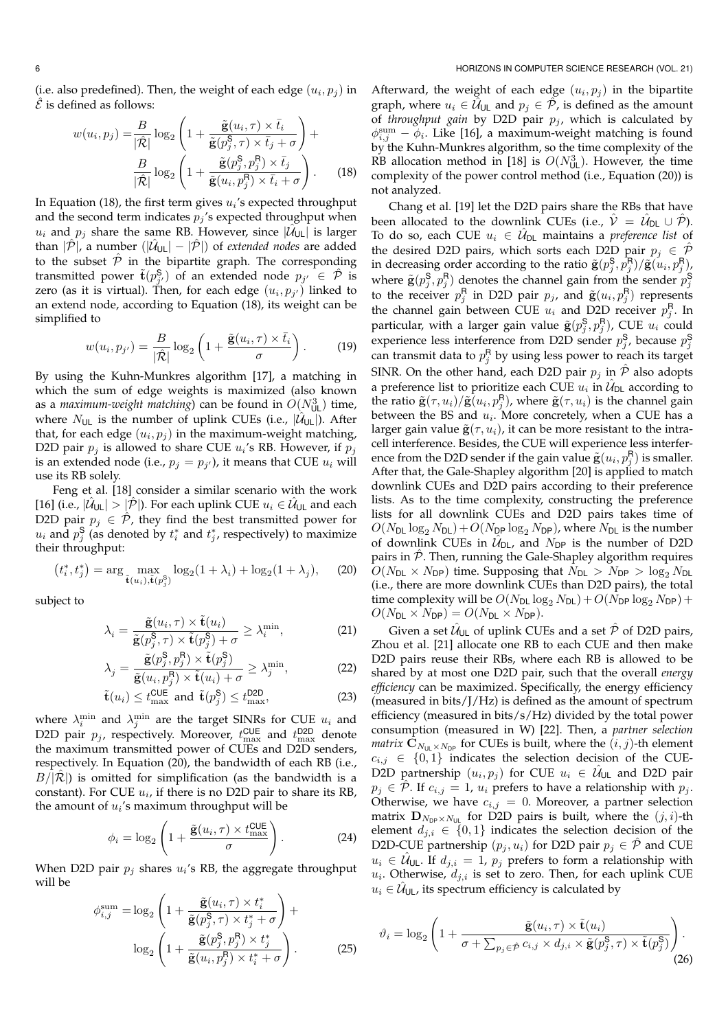(i.e. also predefined). Then, the weight of each edge  $(u_i, p_j)$  in  $\hat{\mathcal{E}}$  is defined as follows:

$$
w(u_i, p_j) = \frac{B}{|\hat{\mathcal{R}}|} \log_2 \left( 1 + \frac{\tilde{\mathbf{g}}(u_i, \tau) \times \bar{t}_i}{\tilde{\mathbf{g}}(p_j^{\mathsf{S}}, \tau) \times \bar{t}_j + \sigma} \right) +
$$

$$
\frac{B}{|\hat{\mathcal{R}}|} \log_2 \left( 1 + \frac{\tilde{\mathbf{g}}(p_j^{\mathsf{S}}, p_j^{\mathsf{R}}) \times \bar{t}_j}{\tilde{\mathbf{g}}(u_i, p_j^{\mathsf{R}}) \times \bar{t}_i + \sigma} \right). \tag{18}
$$

In Equation (18), the first term gives  $u_i$ 's expected throughput and the second term indicates  $p_j$ 's expected throughput when  $u_i$  and  $p_j$  share the same RB. However, since  $|\mathcal{U}_{UL}|$  is larger than  $|\hat{\mathcal{P}}|$ , a number  $(|\hat{\mathcal{U}}_{UL}| - |\hat{\mathcal{P}}|)$  of *extended nodes* are added to the subset  $\hat{\mathcal{P}}$  in the bipartite graph. The corresponding transmitted power  $\tilde{\mathbf{t}}(p_{j'}^{\mathbf{S}})$  of an extended node  $p_{j'} \in \hat{\mathcal{P}}$  is zero (as it is virtual). Then, for each edge  $(u_i, p_{j'})$  linked to an extend node, according to Equation (18), its weight can be simplified to

$$
w(u_i, p_{j'}) = \frac{B}{|\hat{\mathcal{R}}|} \log_2 \left( 1 + \frac{\tilde{\mathbf{g}}(u_i, \tau) \times \bar{t}_i}{\sigma} \right). \tag{19}
$$

By using the Kuhn-Munkres algorithm [17], a matching in which the sum of edge weights is maximized (also known as a *maximum-weight matching*) can be found in  $O(N_{\text{UL}}^3)$  time, where  $N_{UL}$  is the number of uplink CUEs (i.e.,  $|\hat{U}_{UL}|$ ). After that, for each edge  $(u_i, p_j)$  in the maximum-weight matching, D2D pair  $p_j$  is allowed to share CUE  $u_i$ 's RB. However, if  $p_j$ is an extended node (i.e.,  $p_j = p_{j'}$ ), it means that CUE  $u_i$  will use its RB solely.

Feng et al. [18] consider a similar scenario with the work [16] (i.e.,  $|\hat{\mathcal{U}}_{\cup L}| > |\hat{\mathcal{P}}|$ ). For each uplink CUE  $u_i \in \hat{\mathcal{U}}_{\cup L}$  and each D2D pair  $p_j \in \hat{\mathcal{P}}$ , they find the best transmitted power for  $u_i$  and  $p_j^{\mathsf{S}}$  (as denoted by  $t_i^*$  and  $t_j^*$ , respectively) to maximize their throughput:

$$
(t_i^*, t_j^*) = \arg \max_{\tilde{\mathbf{t}}(u_i), \tilde{\mathbf{t}}(p_j^{\mathsf{S}})} \log_2(1 + \lambda_i) + \log_2(1 + \lambda_j), \quad (20)
$$

subject to

$$
\lambda_i = \frac{\tilde{\mathbf{g}}(u_i, \tau) \times \tilde{\mathbf{t}}(u_i)}{\tilde{\mathbf{g}}(p_j^{\mathsf{S}}, \tau) \times \tilde{\mathbf{t}}(p_j^{\mathsf{S}}) + \sigma} \ge \lambda_i^{\min},\tag{21}
$$

$$
\lambda_j = \frac{\tilde{\mathbf{g}}(p_j^{\mathsf{S}}, p_j^{\mathsf{R}}) \times \tilde{\mathbf{t}}(p_j^{\mathsf{S}})}{\tilde{\mathbf{g}}(u_i, p_j^{\mathsf{R}}) \times \tilde{\mathbf{t}}(u_i) + \sigma} \ge \lambda_j^{\min},\tag{22}
$$

$$
\tilde{\mathbf{t}}(u_i) \le t_{\text{max}}^{\text{CUE}} \text{ and } \tilde{\mathbf{t}}(p_j^{\mathsf{S}}) \le t_{\text{max}}^{\text{D2D}},
$$
\n(23)

where  $\lambda_i^{\min}$  and  $\lambda_j^{\min}$  are the target SINRs for CUE  $u_i$  and D2D pair  $p_j$ , respectively. Moreover,  $t_{\text{max}}^{\text{CUE}}$  and  $t_{\text{max}}^{\text{D2D}}$  denote the maximum transmitted power of CUEs and D2D senders, respectively. In Equation (20), the bandwidth of each RB (i.e.,  $B/|\mathcal{R}|$ ) is omitted for simplification (as the bandwidth is a constant). For CUE  $u_i$ , if there is no D2D pair to share its RB, the amount of  $u_i$ 's maximum throughput will be

$$
\phi_i = \log_2 \left( 1 + \frac{\tilde{\mathbf{g}}(u_i, \tau) \times t_{\text{max}}^{\text{CUE}}}{\sigma} \right). \tag{24}
$$

When D2D pair  $p_j$  shares  $u_i$ 's RB, the aggregate throughput will be

$$
\phi_{i,j}^{\text{sum}} = \log_2 \left( 1 + \frac{\tilde{\mathbf{g}}(u_i, \tau) \times t_i^*}{\tilde{\mathbf{g}}(p_j^{\mathsf{S}}, \tau) \times t_j^* + \sigma} \right) + \log_2 \left( 1 + \frac{\tilde{\mathbf{g}}(p_j^{\mathsf{S}}, p_j^{\mathsf{R}}) \times t_j^*}{\tilde{\mathbf{g}}(u_i, p_j^{\mathsf{R}}) \times t_i^* + \sigma} \right). \tag{25}
$$

Afterward, the weight of each edge  $(u_i, p_j)$  in the bipartite graph, where  $u_i \in \hat{\mathcal{U}}$ <sub>UL</sub> and  $p_j \in \mathcal{P}$ , is defined as the amount of *throughput gain* by D2D pair  $p_i$ , which is calculated by  $\phi_{i,j}^{\text{sum}} - \phi_i$ . Like [16], a maximum-weight matching is found by the Kuhn-Munkres algorithm, so the time complexity of the RB allocation method in [18] is  $O(N_{\text{UL}}^3)$ . However, the time complexity of the power control method (i.e., Equation (20)) is not analyzed.

Chang et al. [19] let the D2D pairs share the RBs that have been allocated to the downlink CUEs (i.e.,  $\hat{\mathcal{V}} = \hat{\mathcal{U}}_{\text{DL}} \cup \hat{\mathcal{P}}$ ). To do so, each CUE  $u_i \in \hat{\mathcal{U}}_{DL}$  maintains a *preference list* of the desired D2D pairs, which sorts each D2D pair  $p_j \in \mathcal{P}$ in decreasing order according to the ratio  $\tilde{\mathbf{g}}(p_j^{\mathsf{S}}, p_j^{\mathsf{R}})/\tilde{\mathbf{g}}(u_i, p_j^{\mathsf{R}})$ where  $\tilde{\mathbf{g}}(p_j^{\mathsf{S}}, p_j^{\mathsf{R}})$  denotes the channel gain from the sender  $p_j^{\mathsf{S}}$ to the receiver  $p_j^{\mathsf{R}}$  in D2D pair  $p_j$ , and  $\tilde{\mathbf{g}}(u_i, p_j^{\mathsf{R}})$  represents the channel gain between CUE  $u_i$  and D2D receiver  $p_j^{\text{R}}$ . In particular, with a larger gain value  $\tilde{\mathbf{g}}(p_j^{\mathsf{S}}, p_j^{\mathsf{R}})$ , CUE  $u_i$  could experience less interference from D2D sender  $p_j^{\mathsf{S}}$ , because  $p_j^{\mathsf{S}}$ can transmit data to  $p_j^{\mathsf{R}}$  by using less power to reach its target SINR. On the other hand, each D2D pair  $p_j$  in  $\hat{\mathcal{P}}$  also adopts a preference list to prioritize each CUE  $u_i$  in  $\hat{\mathcal{U}}_{\mathsf{DL}}$  according to the ratio  $\tilde{\mathbf{g}}(\tau,u_i)/\tilde{\mathbf{g}}(u_i,p_j^{\mathsf{R}})$ , where  $\tilde{\mathbf{g}}(\tau,u_i)$  is the channel gain between the BS and  $u_i$ . More concretely, when a CUE has a larger gain value  $\tilde{\mathbf{g}}(\tau, u_i)$ , it can be more resistant to the intracell interference. Besides, the CUE will experience less interference from the D2D sender if the gain value  $\tilde{\mathbf{g}}(u_i, p_j^{\mathsf{R}})$  is smaller. After that, the Gale-Shapley algorithm [20] is applied to match downlink CUEs and D2D pairs according to their preference lists. As to the time complexity, constructing the preference lists for all downlink CUEs and D2D pairs takes time of  $O(N_{\text{DL}} \log_2 N_{\text{DL}}) + O(N_{\text{DP}} \log_2 N_{\text{DP}})$ , where  $N_{\text{DL}}$  is the number of downlink CUEs in  $\hat{\mathcal{U}}_{DL}$ , and  $N_{DP}$  is the number of D2D pairs in  $\hat{\mathcal{P}}$ . Then, running the Gale-Shapley algorithm requires  $O(N_{\text{DL}} \times N_{\text{DP}})$  time. Supposing that  $N_{\text{DL}} > N_{\text{DP}} > \log_2 N_{\text{DL}}$ (i.e., there are more downlink CUEs than D2D pairs), the total time complexity will be  $O(N_{\text{DL}} \log_2 N_{\text{DL}}) + O(N_{\text{DP}} \log_2 N_{\text{DP}}) +$  $O(N_{\text{DL}} \times N_{\text{DP}}) = O(N_{\text{DL}} \times N_{\text{DP}}).$ 

Given a set  $\hat{\mathcal{U}}_{\mathsf{UL}}$  of uplink CUEs and a set  $\hat{\mathcal{P}}$  of D2D pairs, Zhou et al. [21] allocate one RB to each CUE and then make D2D pairs reuse their RBs, where each RB is allowed to be shared by at most one D2D pair, such that the overall *energy efficiency* can be maximized. Specifically, the energy efficiency (measured in bits/J/Hz) is defined as the amount of spectrum efficiency (measured in bits/s/Hz) divided by the total power consumption (measured in W) [22]. Then, a *partner selection matrix*  $\mathbf{C}_{N_{\text{UL}}\times N_{\text{DP}}}$  for CUEs is built, where the  $(i, j)$ -th element  $c_{i,j} \in \{0,1\}$  indicates the selection decision of the CUE- $\hat{\text{D2D}}$  partnership  $(u_i, p_j)$  for CUE  $u_i\, \in\, \hat{\mathcal{U}}_{\text{UL}}$  and D2D pair  $p_i \in \hat{\mathcal{P}}$ . If  $c_{i,j} = 1$ ,  $u_i$  prefers to have a relationship with  $p_i$ . Otherwise, we have  $c_{i,j} = 0$ . Moreover, a partner selection matrix  $\mathbf{D}_{N_{\text{DP}}\times N_{\text{UL}}}$  for D2D pairs is built, where the  $(j, i)$ -th element  $d_{j,i} \in \{0,1\}$  indicates the selection decision of the D2D-CUE partnership  $(p_j, u_i)$  for D2D pair  $p_j \in \hat{\mathcal{P}}$  and CUE  $u_i \in \hat{\mathcal{U}}_{\cup \mathsf{L}}$ . If  $d_{j,i} = 1$ ,  $p_j$  prefers to form a relationship with  $u_i$ . Otherwise,  $d_{j,i}$  is set to zero. Then, for each uplink CUE  $u_i \in \hat{\mathcal{U}}$ <sub>UL</sub>, its spectrum efficiency is calculated by

$$
\vartheta_i = \log_2 \left( 1 + \frac{\tilde{\mathbf{g}}(u_i, \tau) \times \tilde{\mathbf{t}}(u_i)}{\sigma + \sum_{p_j \in \hat{\mathcal{P}}} c_{i,j} \times d_{j,i} \times \tilde{\mathbf{g}}(p_j^{\mathbf{S}}, \tau) \times \tilde{\mathbf{t}}(p_j^{\mathbf{S}})} \right). \tag{26}
$$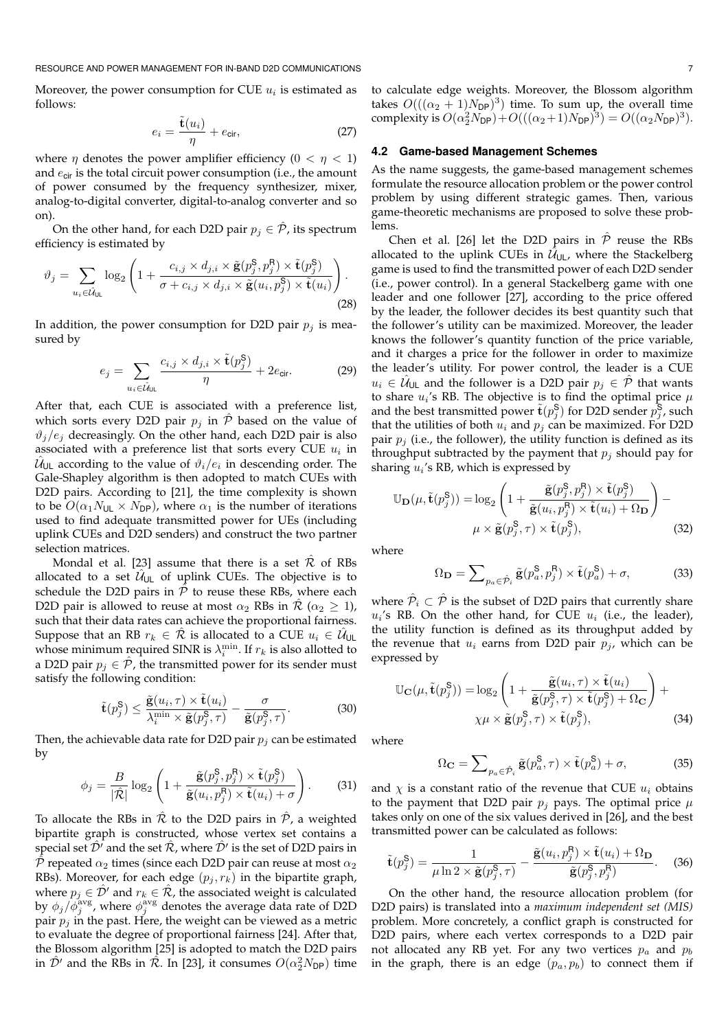RESOURCE AND POWER MANAGEMENT FOR IN-BAND D2D COMMUNICATIONS **THE SOURCE AND THE SOURCE AND THE SOURCE AND THE SOURCE AND THE SOURCE AND THE SOURCE AND POWER MANAGEMENT FOR IN-BAND D2D COMMUNICATIONS** 

Moreover, the power consumption for CUE  $u_i$  is estimated as follows:

$$
e_i = \frac{\tilde{\mathbf{t}}(u_i)}{\eta} + e_{\text{cir}},
$$
 (27)

where  $\eta$  denotes the power amplifier efficiency  $(0 < \eta < 1)$ and  $e_{\text{cir}}$  is the total circuit power consumption (i.e., the amount of power consumed by the frequency synthesizer, mixer, analog-to-digital converter, digital-to-analog converter and so on).

On the other hand, for each D2D pair  $p_j \in \hat{\mathcal{P}}$ , its spectrum efficiency is estimated by

$$
\vartheta_j = \sum_{u_i \in \hat{\mathcal{U}}_{\text{UL}}} \log_2 \left( 1 + \frac{c_{i,j} \times d_{j,i} \times \tilde{\mathbf{g}}(p_j^{\mathsf{S}}, p_j^{\mathsf{R}}) \times \tilde{\mathbf{t}}(p_j^{\mathsf{S}})}{\sigma + c_{i,j} \times d_{j,i} \times \tilde{\mathbf{g}}(u_i, p_j^{\mathsf{S}}) \times \tilde{\mathbf{t}}(u_i)} \right). \tag{28}
$$

In addition, the power consumption for D2D pair  $p_i$  is measured by

$$
e_j = \sum_{u_i \in \hat{\mathcal{U}}_{\text{UL}}} \frac{c_{i,j} \times d_{j,i} \times \tilde{\mathbf{t}}(p_j^{\mathsf{S}})}{\eta} + 2e_{\text{cir}}.
$$
 (29)

After that, each CUE is associated with a preference list, which sorts every D2D pair  $p_i$  in  $\hat{P}$  based on the value of  $\vartheta_i/e_i$  decreasingly. On the other hand, each D2D pair is also associated with a preference list that sorts every CUE  $u_i$  in  $\hat{\mathcal{U}}_{\mathsf{UL}}$  according to the value of  $\vartheta_i/e_i$  in descending order. The Gale-Shapley algorithm is then adopted to match CUEs with D2D pairs. According to [21], the time complexity is shown to be  $O(\alpha_1 N_{UL} \times N_{DP})$ , where  $\alpha_1$  is the number of iterations used to find adequate transmitted power for UEs (including uplink CUEs and D2D senders) and construct the two partner selection matrices.

Mondal et al. [23] assume that there is a set  $\hat{\mathcal{R}}$  of RBs allocated to a set  $\hat{\mathcal{U}}_{\text{UL}}$  of uplink CUEs. The objective is to schedule the D2D pairs in  $\hat{\mathcal{P}}$  to reuse these RBs, where each D2D pair is allowed to reuse at most  $\alpha_2$  RBs in  $\mathcal{R}$  ( $\alpha_2 \geq 1$ ), such that their data rates can achieve the proportional fairness. Suppose that an RB  $r_k\,\in\,\hat{\mathcal{R}}$  is allocated to a CUE  $u_i\,\in\,\hat{\mathcal{U}}_{\mathsf{UL}}$ whose minimum required SINR is  $\lambda_i^{\min}$ . If  $r_k$  is also allotted to a D2D pair  $p_i \in \mathcal{P}$ , the transmitted power for its sender must satisfy the following condition:

$$
\tilde{\mathbf{t}}(p_j^{\mathsf{S}}) \le \frac{\tilde{\mathbf{g}}(u_i, \tau) \times \tilde{\mathbf{t}}(u_i)}{\lambda_i^{\min} \times \tilde{\mathbf{g}}(p_j^{\mathsf{S}}, \tau)} - \frac{\sigma}{\tilde{\mathbf{g}}(p_j^{\mathsf{S}}, \tau)}.
$$
(30)

Then, the achievable data rate for D2D pair  $p_j$  can be estimated by

$$
\phi_j = \frac{B}{|\hat{\mathcal{R}}|} \log_2 \left( 1 + \frac{\tilde{\mathbf{g}}(p_j^{\mathsf{S}}, p_j^{\mathsf{R}}) \times \tilde{\mathbf{t}}(p_j^{\mathsf{S}})}{\tilde{\mathbf{g}}(u_i, p_j^{\mathsf{R}}) \times \tilde{\mathbf{t}}(u_i) + \sigma} \right).
$$
(31)

To allocate the RBs in  $\mathcal R$  to the D2D pairs in  $\mathcal P$ , a weighted bipartite graph is constructed, whose vertex set contains a special set  $\hat{\mathcal{D}}'$  and the set  $\hat{\mathcal{R}}$ , where  $\hat{\mathcal{D}}'$  is the set of D2D pairs in  $\hat{\mathcal{P}}$  repeated  $\alpha_2$  times (since each D2D pair can reuse at most  $\alpha_2$ RBs). Moreover, for each edge  $(p_i, r_k)$  in the bipartite graph, where  $p_j \in \hat{\mathcal{D}}'$  and  $r_k \in \hat{\mathcal{R}}$ , the associated weight is calculated by  $\phi_j/\tilde{\phi}_j^{\text{avg}}$ , where  $\phi_j^{\text{avg}}$  denotes the average data rate of D2D pair  $p_i$  in the past. Here, the weight can be viewed as a metric to evaluate the degree of proportional fairness [24]. After that, the Blossom algorithm [25] is adopted to match the D2D pairs in  $\hat{\mathcal{D}}'$  and the RBs in  $\hat{\mathcal{R}}$ . In [23], it consumes  $O(\alpha_2^2 N_{\textsf{DP}})$  time

to calculate edge weights. Moreover, the Blossom algorithm takes  $O(((\alpha_2 + 1)N_{\text{DP}})^3)$  time. To sum up, the overall time complexity is  $O(\alpha_2^2 N_{\text{DP}}) + O(((\alpha_2 + 1)N_{\text{DP}})^3) = O((\alpha_2 N_{\text{DP}})^3)$ .

## **4.2 Game-based Management Schemes**

As the name suggests, the game-based management schemes formulate the resource allocation problem or the power control problem by using different strategic games. Then, various game-theoretic mechanisms are proposed to solve these problems.

Chen et al. [26] let the D2D pairs in  $\hat{P}$  reuse the RBs allocated to the uplink CUEs in  $\hat{\mathcal{U}}_{\mathsf{UL}}$ , where the Stackelberg game is used to find the transmitted power of each D2D sender (i.e., power control). In a general Stackelberg game with one leader and one follower [27], according to the price offered by the leader, the follower decides its best quantity such that the follower's utility can be maximized. Moreover, the leader knows the follower's quantity function of the price variable, and it charges a price for the follower in order to maximize the leader's utility. For power control, the leader is a CUE  $u_i \in \hat{\mathcal{U}}_{\cup \mathsf{L}}$  and the follower is a D2D pair  $p_j \in \hat{\mathcal{P}}$  that wants to share  $u_i$ 's RB. The objective is to find the optimal price  $\mu$ and the best transmitted power  $\tilde{\mathbf{t}}(p_j^{\mathsf{S}})$  for D2D sender  $p_j^{\mathsf{S}}$ , such that the utilities of both  $u_i$  and  $p_j$  can be maximized. For D2D pair  $p_j$  (i.e., the follower), the utility function is defined as its throughput subtracted by the payment that  $p_i$  should pay for sharing  $u_i$ 's RB, which is expressed by

$$
\mathbb{U}_{\mathbf{D}}(\mu, \tilde{\mathbf{t}}(p_j^{\mathbf{S}})) = \log_2 \left( 1 + \frac{\tilde{\mathbf{g}}(p_j^{\mathbf{S}}, p_j^{\mathbf{R}}) \times \tilde{\mathbf{t}}(p_j^{\mathbf{S}})}{\tilde{\mathbf{g}}(u_i, p_j^{\mathbf{R}}) \times \tilde{\mathbf{t}}(u_i) + \Omega_{\mathbf{D}}} \right) - \mu \times \tilde{\mathbf{g}}(p_j^{\mathbf{S}}, \tau) \times \tilde{\mathbf{t}}(p_j^{\mathbf{S}}),
$$
\n(32)

where

$$
\Omega_{\mathbf{D}} = \sum_{p_a \in \hat{\mathcal{P}}_i} \tilde{\mathbf{g}}(p_a^{\mathbf{S}}, p_j^{\mathbf{R}}) \times \tilde{\mathbf{t}}(p_a^{\mathbf{S}}) + \sigma,\tag{33}
$$

where  $\hat{\mathcal{P}}_i \subset \hat{\mathcal{P}}$  is the subset of D2D pairs that currently share  $u_i$ 's RB. On the other hand, for CUE  $u_i$  (i.e., the leader), the utility function is defined as its throughput added by the revenue that  $u_i$  earns from D2D pair  $p_j$ , which can be expressed by

$$
\mathbb{U}_{\mathbf{C}}(\mu, \tilde{\mathbf{t}}(p_j^{\mathsf{S}})) = \log_2 \left( 1 + \frac{\tilde{\mathbf{g}}(u_i, \tau) \times \tilde{\mathbf{t}}(u_i)}{\tilde{\mathbf{g}}(p_j^{\mathsf{S}}, \tau) \times \tilde{\mathbf{t}}(p_j^{\mathsf{S}}) + \Omega_{\mathbf{C}}} \right) + \times \tilde{\mathbf{g}}(p_j^{\mathsf{S}}, \tau) \times \tilde{\mathbf{t}}(p_j^{\mathsf{S}}),
$$
\n(34)

where

$$
\Omega_{\mathbf{C}} = \sum_{p_a \in \hat{\mathcal{P}}_i} \tilde{\mathbf{g}}(p_a^{\mathbf{S}}, \tau) \times \tilde{\mathbf{t}}(p_a^{\mathbf{S}}) + \sigma,\tag{35}
$$

and  $\chi$  is a constant ratio of the revenue that CUE  $u_i$  obtains to the payment that D2D pair  $p_j$  pays. The optimal price  $\mu$ takes only on one of the six values derived in [26], and the best transmitted power can be calculated as follows:

$$
\tilde{\mathbf{t}}(p_j^{\mathsf{S}}) = \frac{1}{\mu \ln 2 \times \tilde{\mathbf{g}}(p_j^{\mathsf{S}}, \tau)} - \frac{\tilde{\mathbf{g}}(u_i, p_j^{\mathsf{R}}) \times \tilde{\mathbf{t}}(u_i) + \Omega_{\mathbf{D}}}{\tilde{\mathbf{g}}(p_j^{\mathsf{S}}, p_j^{\mathsf{R}})}.
$$
 (36)

On the other hand, the resource allocation problem (for D2D pairs) is translated into a *maximum independent set (MIS)* problem. More concretely, a conflict graph is constructed for D2D pairs, where each vertex corresponds to a D2D pair not allocated any RB yet. For any two vertices  $p_a$  and  $p_b$ in the graph, there is an edge  $(p_a, p_b)$  to connect them if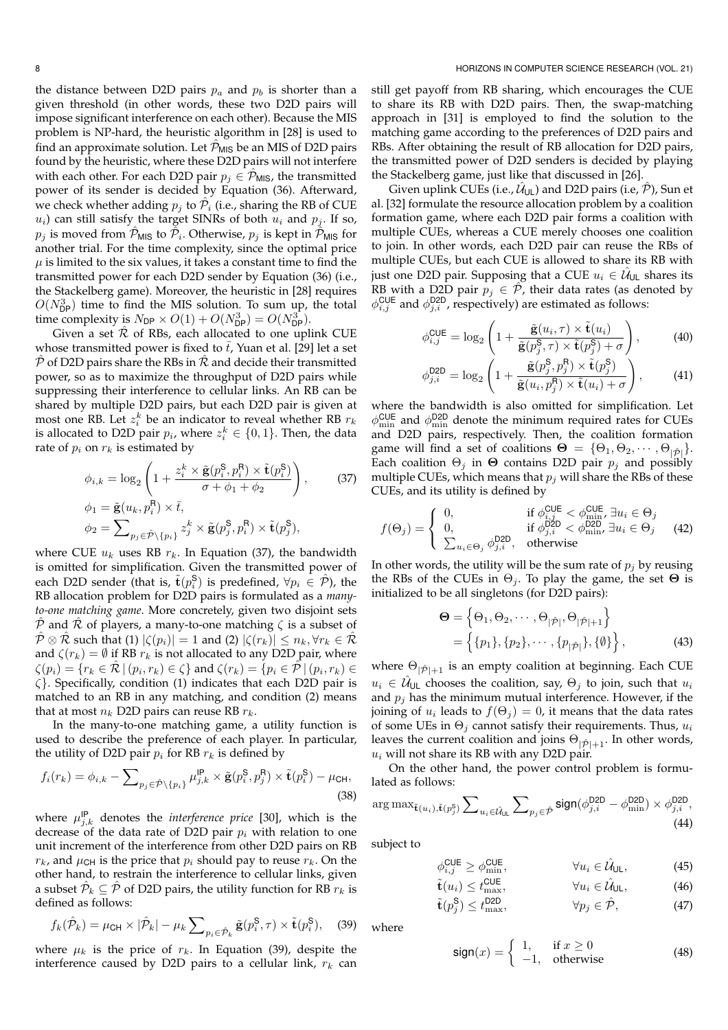the distance between D2D pairs  $p_a$  and  $p_b$  is shorter than a given threshold (in other words, these two D2D pairs will impose significant interference on each other). Because the MIS problem is NP-hard, the heuristic algorithm in [28] is used to find an approximate solution. Let  $\hat{\mathcal{P}}_{MIS}$  be an MIS of D2D pairs found by the heuristic, where these D2D pairs will not interfere with each other. For each D2D pair  $p_j \in \mathcal{P}_{MIS}$ , the transmitted power of its sender is decided by Equation (36). Afterward, we check whether adding  $p_j$  to  $\hat{\mathcal{P}}_i$  (i.e., sharing the RB of CUE  $u_i$ ) can still satisfy the target SINRs of both  $u_i$  and  $p_j$ . If so,  $p_j$  is moved from  $\hat{\mathcal{P}}_{\mathsf{MIS}}$  to  $\check{\mathcal{P}}_i$ . Otherwise,  $p_j$  is kept in  $\hat{\mathcal{P}}_{\mathsf{MIS}}$  for another trial. For the time complexity, since the optimal price  $\mu$  is limited to the six values, it takes a constant time to find the transmitted power for each D2D sender by Equation (36) (i.e., the Stackelberg game). Moreover, the heuristic in [28] requires  $O(N_{\text{DP}}^3)$  time to find the MIS solution. To sum up, the total time complexity is  $N_{\text{DP}} \times O(1) + O(N_{\text{DP}}^3) = O(N_{\text{DP}}^3)$ .

Given a set  $\hat{\mathcal{R}}$  of RBs, each allocated to one uplink CUE whose transmitted power is fixed to  $\bar{t}$ , Yuan et al. [29] let a set  $\hat{P}$  of D2D pairs share the RBs in  $\hat{R}$  and decide their transmitted power, so as to maximize the throughput of D2D pairs while suppressing their interference to cellular links. An RB can be shared by multiple D2D pairs, but each D2D pair is given at most one RB. Let  $z_i^k$  be an indicator to reveal whether RB  $r_k$ is allocated to D2D pair  $p_i$ , where  $z_i^k \in \{0,1\}$ . Then, the data rate of  $p_i$  on  $r_k$  is estimated by

$$
\phi_{i,k} = \log_2 \left( 1 + \frac{z_i^k \times \tilde{\mathbf{g}}(p_i^{\mathsf{S}}, p_i^{\mathsf{R}}) \times \tilde{\mathbf{t}}(p_i^{\mathsf{S}})}{\sigma + \phi_1 + \phi_2} \right), \quad (37)
$$

$$
\phi_1 = \tilde{\mathbf{g}}(u_k, p_i^{\mathsf{R}}) \times \bar{t},
$$

$$
\phi_2 = \sum_{p_j \in \hat{\mathcal{P}} \setminus \{p_i\}} z_j^k \times \tilde{\mathbf{g}}(p_j^{\mathsf{S}}, p_i^{\mathsf{R}}) \times \tilde{\mathbf{t}}(p_j^{\mathsf{S}}),
$$

where CUE  $u_k$  uses RB  $r_k$ . In Equation (37), the bandwidth is omitted for simplification. Given the transmitted power of each D2D sender (that is,  $\tilde{\mathbf{t}}(p_i^{\mathbf{S}})$  is predefined,  $\forall p_i \in \hat{\mathcal{P}}$ ), the RB allocation problem for D2D pairs is formulated as a *manyto-one matching game*. More concretely, given two disjoint sets  $\overline{P}$  and  $\overline{R}$  of players, a many-to-one matching  $\zeta$  is a subset of  $\hat{\mathcal{P}} \otimes \hat{\mathcal{R}}$  such that (1)  $|\zeta(p_i)| = 1$  and (2)  $|\zeta(r_k)| \leq n_k, \forall r_k \in \hat{\mathcal{R}}$ and  $\zeta(r_k) = \emptyset$  if RB  $r_k$  is not allocated to any D2D pair, where  $\zeta(p_i)=\{r_k\in\hat{\mathcal{R}}\,|\,(p_i,r_k)\in\zeta\}$  and  $\zeta(r_k)=\{p_i\in\hat{\mathcal{P}}\,|\,(p_i,r_k)\in\zeta\}$  $\zeta$ . Specifically, condition (1) indicates that each D2D pair is matched to an RB in any matching, and condition (2) means that at most  $n_k$  D2D pairs can reuse RB  $r_k$ .

In the many-to-one matching game, a utility function is used to describe the preference of each player. In particular, the utility of D2D pair  $p_i$  for RB  $r_k$  is defined by

$$
f_i(r_k) = \phi_{i,k} - \sum_{p_j \in \hat{\mathcal{P}} \setminus \{p_i\}} \mu_{j,k}^{\mathsf{IP}} \times \tilde{\mathbf{g}}(p_i^{\mathsf{S}}, p_j^{\mathsf{R}}) \times \tilde{\mathbf{t}}(p_i^{\mathsf{S}}) - \mu_{\mathsf{CH}},
$$
\n(38)

where  $\mu_{j,k}^{\text{IP}}$  denotes the *interference price* [30], which is the decrease of the data rate of D2D pair  $p_i$  with relation to one unit increment of the interference from other D2D pairs on RB  $r_k$ , and  $\mu$ <sub>CH</sub> is the price that  $p_i$  should pay to reuse  $r_k$ . On the other hand, to restrain the interference to cellular links, given a subset  $\hat{\mathcal{P}}_k \subseteq \hat{\mathcal{P}}$  of D2D pairs, the utility function for RB  $r_k$  is defined as follows:

$$
f_k(\hat{\mathcal{P}}_k) = \mu_{\text{CH}} \times |\hat{\mathcal{P}}_k| - \mu_k \sum_{p_i \in \hat{\mathcal{P}}_k} \tilde{\mathbf{g}}(p_i^{\mathbf{S}}, \tau) \times \tilde{\mathbf{t}}(p_i^{\mathbf{S}}), \quad (39)
$$

where  $\mu_k$  is the price of  $r_k$ . In Equation (39), despite the interference caused by D2D pairs to a cellular link,  $r_k$  can

still get payoff from RB sharing, which encourages the CUE to share its RB with D2D pairs. Then, the swap-matching approach in [31] is employed to find the solution to the matching game according to the preferences of D2D pairs and RBs. After obtaining the result of RB allocation for D2D pairs, the transmitted power of D2D senders is decided by playing the Stackelberg game, just like that discussed in [26].

Given uplink CUEs (i.e.,  $\hat{\mathcal{U}}_{\mathsf{UL}}$ ) and D2D pairs (i.e,  $\hat{\mathcal{P}}$ ), Sun et al. [32] formulate the resource allocation problem by a coalition formation game, where each D2D pair forms a coalition with multiple CUEs, whereas a CUE merely chooses one coalition to join. In other words, each D2D pair can reuse the RBs of multiple CUEs, but each CUE is allowed to share its RB with just one D2D pair. Supposing that a CUE  $u_i \in \hat{\mathcal{U}}_{\mathsf{UL}}$  shares its RB with a D2D pair  $p_i \in \mathcal{P}$ , their data rates (as denoted by  $\phi_{i,j}^{\text{CUE}}$  and  $\phi_{j,i}^{\text{D2D}}$ , respectively) are estimated as follows:

$$
\phi_{i,j}^{\text{CUE}} = \log_2\left(1 + \frac{\tilde{\mathbf{g}}(u_i, \tau) \times \tilde{\mathbf{t}}(u_i)}{\tilde{\mathbf{g}}(p_j^{\text{S}}, \tau) \times \tilde{\mathbf{t}}(p_j^{\text{S}}) + \sigma}\right),\tag{40}
$$

$$
\phi_{j,i}^{\text{D2D}} = \log_2 \left( 1 + \frac{\tilde{\mathbf{g}}(p_j^{\mathbf{S}}, p_j^{\mathbf{R}}) \times \tilde{\mathbf{t}}(p_j^{\mathbf{S}})}{\tilde{\mathbf{g}}(u_i, p_j^{\mathbf{R}}) \times \tilde{\mathbf{t}}(u_i) + \sigma} \right), \tag{41}
$$

where the bandwidth is also omitted for simplification. Let  $\phi_{\min}^{\text{CUE}}$  and  $\phi_{\min}^{\text{D2D}}$  denote the minimum required rates for CUEs and D2D pairs, respectively. Then, the coalition formation game will find a set of coalitions  $\Theta = {\Theta_1, \Theta_2, \cdots, \Theta_{|\hat{\mathcal{D}}|}}.$ Each coalition  $\Theta_i$  in  $\Theta$  contains D2D pair  $p_i$  and possibly multiple CUEs, which means that  $p_i$  will share the RBs of these CUEs, and its utility is defined by

$$
f(\Theta_j) = \begin{cases} 0, & \text{if } \phi_{i,j}^{\text{CUE}} < \phi_{\text{min}}^{\text{CUE}}, \exists u_i \in \Theta_j \\ 0, & \text{if } \phi_{j,i}^{\text{D2D}} < \phi_{\text{min}}^{\text{D2D}}, \exists u_i \in \Theta_j \\ \sum_{u_i \in \Theta_j} \phi_{j,i}^{\text{D2D}}, & \text{otherwise} \end{cases}
$$
(42)

In other words, the utility will be the sum rate of  $p_i$  by reusing the RBs of the CUEs in  $\Theta_i$ . To play the game, the set  $\Theta$  is initialized to be all singletons (for D2D pairs):

$$
\Theta = \left\{ \Theta_1, \Theta_2, \cdots, \Theta_{|\hat{\mathcal{P}}|}, \Theta_{|\hat{\mathcal{P}}|+1} \right\}
$$
  
= 
$$
\left\{ \{p_1\}, \{p_2\}, \cdots, \{p_{|\hat{\mathcal{P}}|}\}, \{\emptyset\} \right\},
$$
(43)

where  $\Theta_{|\hat{\mathcal{P}}|+1}$  is an empty coalition at beginning. Each CUE  $u_i \in \hat{\mathcal{U}}_{\cup \mathsf{L}}$  chooses the coalition, say,  $\Theta_j$  to join, such that  $u_i$ and  $p_i$  has the minimum mutual interference. However, if the joining of  $u_i$  leads to  $f(\Theta_j) = 0$ , it means that the data rates of some UEs in  $\Theta_i$  cannot satisfy their requirements. Thus,  $u_i$ leaves the current coalition and joins  $\Theta_{|\hat{\mathcal{P}}|+1}$ . In other words,  $u_i$  will not share its RB with any D2D pair.

On the other hand, the power control problem is formulated as follows:

$$
\arg\max_{\tilde{\mathbf{t}}(u_i), \tilde{\mathbf{t}}(p_j^{\rm S})} \sum\nolimits_{u_i \in \hat{\mathcal{U}}_{\text{UL}}} \sum\nolimits_{p_j \in \hat{\mathcal{P}}} \text{sign}(\phi_{j,i}^{\rm D2D} - \phi_{\rm min}^{\rm D2D}) \times \phi_{j,i}^{\rm D2D}, \tag{44}
$$

subject to

$$
\phi_{i,j}^{\text{CUE}} \ge \phi_{\text{min}}^{\text{CUE}}, \qquad \qquad \forall u_i \in \hat{\mathcal{U}}_{\text{UL}}, \tag{45}
$$

$$
\tilde{\mathbf{t}}(u_i) \le t_{\text{max}}^{\text{CUE}}, \qquad \forall u_i \in \hat{\mathcal{U}}_{\text{UL}}, \qquad (46)
$$

$$
\tilde{\mathbf{t}}(p_j^{\mathsf{S}}) \le t_{\text{max}}^{\mathsf{D2D}}, \qquad \forall p_j \in \hat{\mathcal{P}}, \qquad (47)
$$

where

$$
\text{sign}(x) = \begin{cases} 1, & \text{if } x \ge 0 \\ -1, & \text{otherwise} \end{cases} \tag{48}
$$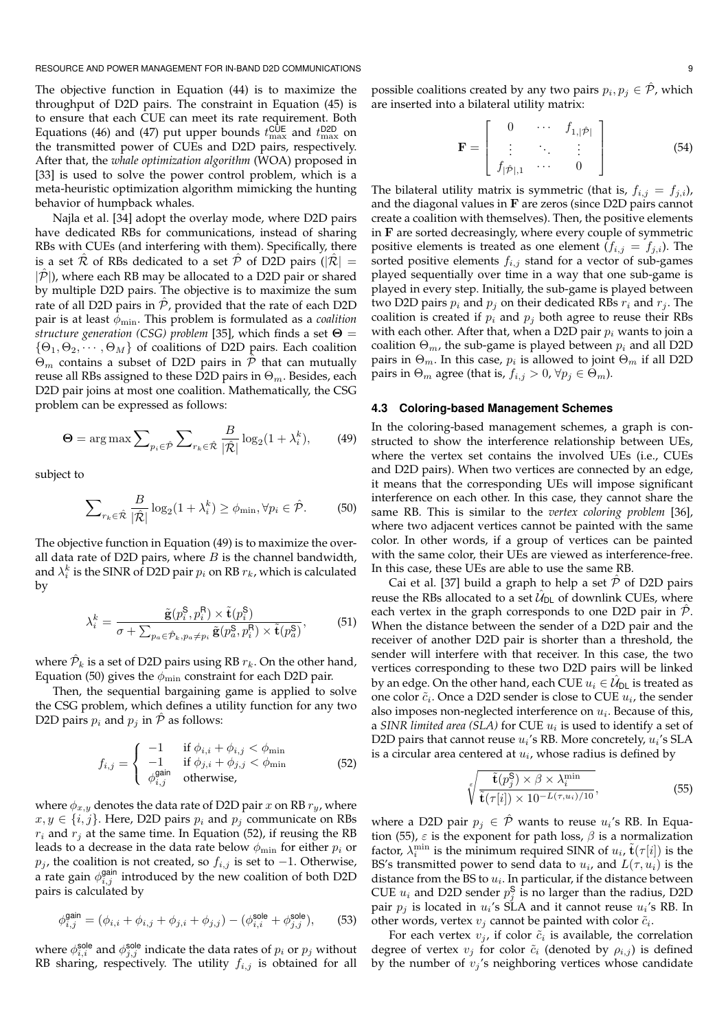RESOURCE AND POWER MANAGEMENT FOR IN-BAND D2D COMMUNICATIONS **FOR A STATE AND A SET AND A STATE OF A STATE AND STATE** 

The objective function in Equation (44) is to maximize the throughput of D2D pairs. The constraint in Equation (45) is to ensure that each CUE can meet its rate requirement. Both Equations (46) and (47) put upper bounds  $t_{\rm max}^{\rm CUE}$  and  $t_{\rm max}^{\rm D2D}$  on the transmitted power of CUEs and D2D pairs, respectively. After that, the *whale optimization algorithm* (WOA) proposed in [33] is used to solve the power control problem, which is a meta-heuristic optimization algorithm mimicking the hunting behavior of humpback whales.

Najla et al. [34] adopt the overlay mode, where D2D pairs have dedicated RBs for communications, instead of sharing RBs with CUEs (and interfering with them). Specifically, there is a set  $\hat{\mathcal{R}}$  of RBs dedicated to a set  $\hat{\mathcal{P}}$  of D2D pairs ( $|\hat{\mathcal{R}}|$  =  $|\hat{\mathcal{P}}|$ ), where each RB may be allocated to a D2D pair or shared by multiple D2D pairs. The objective is to maximize the sum rate of all D2D pairs in  $\hat{P}$ , provided that the rate of each D2D pair is at least φmin. This problem is formulated as a *coalition structure generation (CSG) problem* [35], which finds a set Θ =  $\{\Theta_1, \Theta_2, \cdots, \Theta_M\}$  of coalitions of D2D pairs. Each coalition  $\Theta_m$  contains a subset of D2D pairs in  $\hat{\mathcal{P}}$  that can mutually reuse all RBs assigned to these D2D pairs in  $\Theta_m$ . Besides, each D2D pair joins at most one coalition. Mathematically, the CSG problem can be expressed as follows:

$$
\Theta = \arg \max \sum_{p_i \in \hat{\mathcal{P}}} \sum_{r_k \in \hat{\mathcal{R}}} \frac{B}{|\hat{\mathcal{R}}|} \log_2(1 + \lambda_i^k), \quad (49)
$$

subject to

$$
\sum_{r_k \in \hat{\mathcal{R}}} \frac{B}{|\hat{\mathcal{R}}|} \log_2(1 + \lambda_i^k) \ge \phi_{\min}, \forall p_i \in \hat{\mathcal{P}}. \tag{50}
$$

The objective function in Equation (49) is to maximize the overall data rate of D2D pairs, where  $B$  is the channel bandwidth, and  $\lambda_i^k$  is the SINR of D2D pair  $p_i$  on RB  $r_k$ , which is calculated by

$$
\lambda_i^k = \frac{\tilde{\mathbf{g}}(p_i^{\mathbf{S}}, p_i^{\mathbf{R}}) \times \tilde{\mathbf{t}}(p_i^{\mathbf{S}})}{\sigma + \sum_{p_a \in \hat{\mathcal{P}}_k, p_a \neq p_i} \tilde{\mathbf{g}}(p_a^{\mathbf{S}}, p_i^{\mathbf{R}}) \times \tilde{\mathbf{t}}(p_a^{\mathbf{S}})},\tag{51}
$$

where  $\hat{\mathcal{P}}_k$  is a set of D2D pairs using RB  $r_k.$  On the other hand, Equation (50) gives the  $\phi_{\rm min}$  constraint for each D2D pair.

Then, the sequential bargaining game is applied to solve the CSG problem, which defines a utility function for any two D2D pairs  $p_i$  and  $p_j$  in  $\hat{P}$  as follows:

$$
f_{i,j} = \begin{cases} -1 & \text{if } \phi_{i,i} + \phi_{i,j} < \phi_{\min} \\ -1 & \text{if } \phi_{j,i} + \phi_{j,j} < \phi_{\min} \\ \phi_{i,j}^{\text{gain}} & \text{otherwise,} \end{cases} \tag{52}
$$

where  $\phi_{x,y}$  denotes the data rate of D2D pair x on RB  $r_y$ , where  $x, y \in \{i, j\}$ . Here, D2D pairs  $p_i$  and  $p_j$  communicate on RBs  $r_i$  and  $r_j$  at the same time. In Equation (52), if reusing the RB leads to a decrease in the data rate below  $\phi_{\text{min}}$  for either  $p_i$  or  $p_j$ , the coalition is not created, so  $f_{i,j}$  is set to  $-1$ . Otherwise, a rate gain  $\phi_{i,j}^{\text{gain}}$  introduced by the new coalition of both D2D pairs is calculated by

$$
\phi_{i,j}^{\text{gain}} = (\phi_{i,i} + \phi_{i,j} + \phi_{j,i} + \phi_{j,j}) - (\phi_{i,i}^{\text{sole}} + \phi_{j,j}^{\text{sole}}), \quad (53)
$$

where  $\phi_{i,i}^{\text{sole}}$  and  $\phi_{j,j}^{\text{sole}}$  indicate the data rates of  $p_i$  or  $p_j$  without RB sharing, respectively. The utility  $f_{i,j}$  is obtained for all

possible coalitions created by any two pairs  $p_i, p_j \in \hat{\mathcal{P}}$ , which are inserted into a bilateral utility matrix:

$$
\mathbf{F} = \left[ \begin{array}{ccc} 0 & \cdots & f_{1,|\hat{\mathcal{P}}|} \\ \vdots & \ddots & \vdots \\ f_{|\hat{\mathcal{P}}|,1} & \cdots & 0 \end{array} \right] \tag{54}
$$

The bilateral utility matrix is symmetric (that is,  $f_{i,j} = f_{j,i}$ ), and the diagonal values in  **are zeros (since D2D pairs cannot** create a coalition with themselves). Then, the positive elements in  **are sorted decreasingly, where every couple of symmetric** positive elements is treated as one element  $(f_{i,j} = f_{j,i})$ . The sorted positive elements  $f_{i,j}$  stand for a vector of sub-games played sequentially over time in a way that one sub-game is played in every step. Initially, the sub-game is played between two D2D pairs  $p_i$  and  $p_j$  on their dedicated RBs  $r_i$  and  $r_j$ . The coalition is created if  $p_i$  and  $p_j$  both agree to reuse their RBs with each other. After that, when a D2D pair  $p_i$  wants to join a coalition  $\Theta_m$ , the sub-game is played between  $p_i$  and all D2D pairs in  $\Theta_m.$  In this case,  $p_i$  is allowed to joint  $\Theta_m$  if all D2D pairs in  $\Theta_m$  agree (that is,  $f_{i,j} > 0$ ,  $\forall p_j \in \Theta_m$ ).

## **4.3 Coloring-based Management Schemes**

In the coloring-based management schemes, a graph is constructed to show the interference relationship between UEs, where the vertex set contains the involved UEs (i.e., CUEs and D2D pairs). When two vertices are connected by an edge, it means that the corresponding UEs will impose significant interference on each other. In this case, they cannot share the same RB. This is similar to the *vertex coloring problem* [36], where two adjacent vertices cannot be painted with the same color. In other words, if a group of vertices can be painted with the same color, their UEs are viewed as interference-free. In this case, these UEs are able to use the same RB.

Cai et al. [37] build a graph to help a set  $\hat{\mathcal{P}}$  of D2D pairs reuse the RBs allocated to a set  $\hat{\mathcal{U}}_{\textsf{DL}}$  of downlink CUEs, where each vertex in the graph corresponds to one D2D pair in  $\hat{\mathcal{P}}$ . When the distance between the sender of a D2D pair and the receiver of another D2D pair is shorter than a threshold, the sender will interfere with that receiver. In this case, the two vertices corresponding to these two D2D pairs will be linked by an edge. On the other hand, each CUE  $u_i \in \hat{\mathcal{U}}_{\mathsf{DL}}$  is treated as one color  $\tilde{c}_i$ . Once a D2D sender is close to CUE  $u_i$ , the sender also imposes non-neglected interference on  $u_i$ . Because of this, a SINR limited area (SLA) for CUE  $u_i$  is used to identify a set of D2D pairs that cannot reuse  $u_i$ 's RB. More concretely,  $u_i$ 's SLA is a circular area centered at  $u_i$ , whose radius is defined by

$$
\sqrt[\mathbf{t}(p_j^{\mathbf{S}}) \times \beta \times \lambda_i^{\min} \overline{\mathbf{t}(\tau[i]) \times 10^{-L(\tau, u_i)/10}},
$$
\n(55)

where a D2D pair  $p_j\, \in\, \hat{\cal P}$  wants to reuse  $u_i$ 's RB. In Equation (55),  $\varepsilon$  is the exponent for path loss,  $\beta$  is a normalization factor,  $\lambda_i^{\min}$  is the minimum required SINR of  $u_i$ ,  $\tilde{\mathbf{t}}(\tau[i])$  is the BS's transmitted power to send data to  $u_i$ , and  $L(\tau, u_i)$  is the distance from the BS to  $u_i$ . In particular, if the distance between CUE  $u_i$  and D2D sender  $p_j^{\mathsf{S}}$  is no larger than the radius, D2D pair  $p_j$  is located in  $u_i$ 's SLA and it cannot reuse  $u_i$ 's RB. In other words, vertex  $v_j$  cannot be painted with color  $\tilde{c}_i$ .

For each vertex  $v_j$ , if color  $\tilde{c}_i$  is available, the correlation degree of vertex  $v_i$  for color  $\tilde{c}_i$  (denoted by  $\rho_{i,j}$ ) is defined by the number of  $v_j$ 's neighboring vertices whose candidate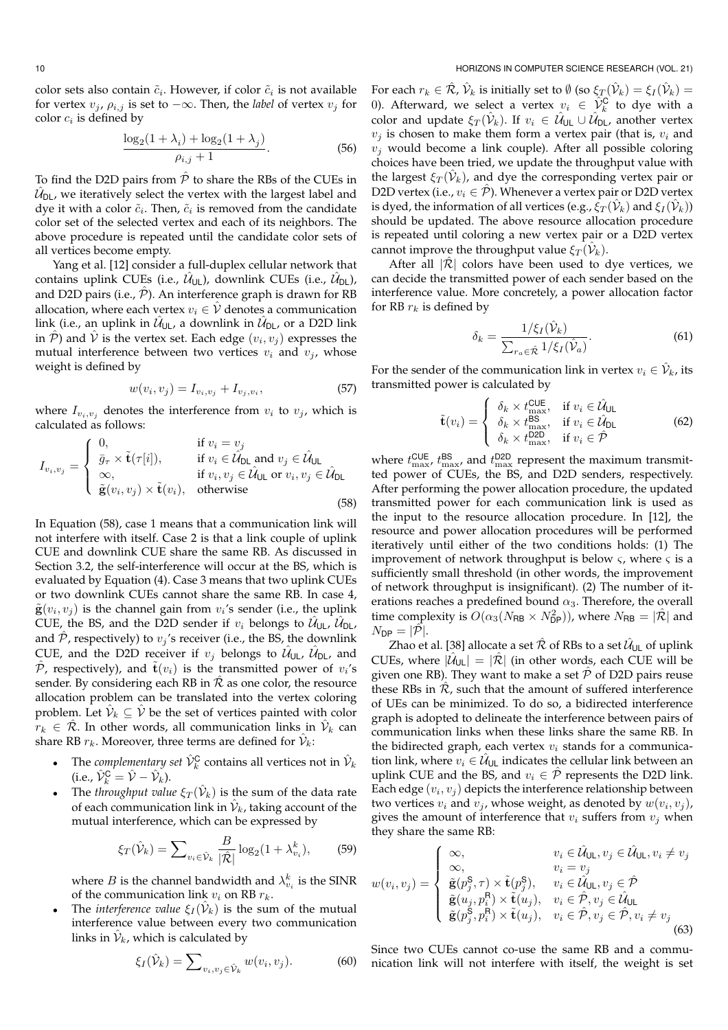$$
\frac{\log_2(1+\lambda_i) + \log_2(1+\lambda_j)}{\rho_{i,j} + 1}.
$$
\n(56)

To find the D2D pairs from  $\hat{\mathcal{P}}$  to share the RBs of the CUEs in  $\hat{\mathcal{U}}_{\mathsf{DL}}$ , we iteratively select the vertex with the largest label and dye it with a color  $\tilde{c}_i$ . Then,  $\tilde{c}_i$  is removed from the candidate color set of the selected vertex and each of its neighbors. The above procedure is repeated until the candidate color sets of all vertices become empty.

Yang et al. [12] consider a full-duplex cellular network that contains uplink CUEs (i.e.,  $\hat{\mathcal{U}}_{\mathsf{UL}}$ ), downlink CUEs (i.e.,  $\hat{\mathcal{U}}_{\mathsf{DL}}$ ), and D2D pairs (i.e.,  $\hat{P}$ ). An interference graph is drawn for RB allocation, where each vertex  $v_i \in \hat{V}$  denotes a communication link (i.e., an uplink in  $\hat{\mathcal{U}}_{\mathsf{UL}}$ , a downlink in  $\hat{\mathcal{U}}_{\mathsf{DL}}$ , or a D2D link in  $\hat{\mathcal{P}}$ ) and  $\hat{\mathcal{V}}$  is the vertex set. Each edge  $(v_i, v_j)$  expresses the mutual interference between two vertices  $v_i$  and  $v_j$ , whose weight is defined by

$$
w(v_i, v_j) = I_{v_i, v_j} + I_{v_j, v_i},
$$
\n(57)

where  $I_{v_i,v_j}$  denotes the interference from  $v_i$  to  $v_j$ , which is calculated as follows:

$$
I_{v_i, v_j} = \begin{cases} 0, & \text{if } v_i = v_j \\ \bar{g}_{\tau} \times \tilde{\mathbf{t}}(\tau[i]), & \text{if } v_i \in \hat{\mathcal{U}}_{\text{DL}} \text{ and } v_j \in \hat{\mathcal{U}}_{\text{UL}} \\ \infty, & \text{if } v_i, v_j \in \hat{\mathcal{U}}_{\text{UL}} \text{ or } v_i, v_j \in \hat{\mathcal{U}}_{\text{DL}} \\ \tilde{\mathbf{g}}(v_i, v_j) \times \tilde{\mathbf{t}}(v_i), & \text{otherwise} \end{cases}
$$
(58)

In Equation (58), case 1 means that a communication link will not interfere with itself. Case 2 is that a link couple of uplink CUE and downlink CUE share the same RB. As discussed in Section 3.2, the self-interference will occur at the BS, which is evaluated by Equation (4). Case 3 means that two uplink CUEs or two downlink CUEs cannot share the same RB. In case 4,  $\tilde{\mathbf{g}}(v_i, v_j)$  is the channel gain from  $v_i$ 's sender (i.e., the uplink CUE, the BS, and the D2D sender if  $v_i$  belongs to  $\hat{\mathcal{U}}_{\mathsf{UL}}$ ,  $\hat{\mathcal{U}}_{\mathsf{DL}}$ , and  $\hat{\mathcal{P}}$ , respectively) to  $v_j$ 's receiver (i.e., the BS, the downlink CUE, and the D2D receiver if  $v_j$  belongs to  $\hat{\mathcal{U}}_{\cup L}$ ,  $\hat{\mathcal{U}}_{\cup L}$ , and  $\hat{\mathcal{P}}$ , respectively), and  $\tilde{\mathbf{t}}(v_i)$  is the transmitted power of  $v_i$ 's sender. By considering each RB in  $\hat{\mathcal{R}}$  as one color, the resource allocation problem can be translated into the vertex coloring problem. Let  $\hat{\mathcal{V}}_k \subseteq \hat{\mathcal{V}}$  be the set of vertices painted with color  $r_k \in \hat{\mathcal{R}}$ . In other words, all communication links in  $\hat{\mathcal{V}}_k$  can share RB  $r_k$ . Moreover, three terms are defined for  $\hat{\mathcal{V}}_k$ :

- The *complementary set*  $\hat{V}_k^{\text{C}}$  contains all vertices not in  $\hat{V}_k$ (i.e.,  $\hat{\mathcal{V}}_k^{\mathsf{C}} = \hat{\mathcal{V}} - \hat{\mathcal{V}}_k$ ).
- The *throughput value*  $\xi_T(\hat{\mathcal{V}}_k)$  is the sum of the data rate of each communication link in  $\hat{\mathcal{V}}_k$ , taking account of the mutual interference, which can be expressed by

$$
\xi_T(\hat{\mathcal{V}}_k) = \sum_{v_i \in \hat{\mathcal{V}}_k} \frac{B}{|\hat{\mathcal{R}}|} \log_2(1 + \lambda_{v_i}^k),\tag{59}
$$

where  $B$  is the channel bandwidth and  $\lambda_{v_i}^k$  is the SINR of the communication link  $v_i$  on RB  $r_k$ .

• The *interference value*  $\xi_I(\hat{\mathcal{V}}_k)$  is the sum of the mutual interference value between every two communication links in  $\hat{\mathcal{V}}_k$ , which is calculated by

$$
\xi_I(\hat{\mathcal{V}}_k) = \sum_{v_i, v_j \in \hat{\mathcal{V}}_k} w(v_i, v_j). \tag{60}
$$

For each  $r_k\in \hat{\mathcal{R}},$   $\hat{\mathcal{V}}_k$  is initially set to  $\emptyset$  (so  $\xi_T(\hat{\mathcal{V}}_k)=\xi_I(\hat{\mathcal{V}}_k)=$ 0). Afterward, we select a vertex  $v_i \in \hat{\mathcal{V}}_k^{\mathbf{C}}$  to dye with a color and update  $\xi_T(\hat{\mathcal{V}}_k)$ . If  $v_i\, \in\, \hat{\mathcal{U}}_{\sf UL} \cup \hat{\mathcal{U}}_{\sf DL}$ , another vertex  $v_j$  is chosen to make them form a vertex pair (that is,  $v_i$  and  $v_i$  would become a link couple). After all possible coloring choices have been tried, we update the throughput value with the largest  $\xi_T(\hat{\mathcal{V}}_k)$ , and dye the corresponding vertex pair or D2D vertex (i.e.,  $v_i \in \mathcal{P}$ ). Whenever a vertex pair or D2D vertex is dyed, the information of all vertices (e.g.,  $\hat{\zeta}_T(\hat{\mathcal{V}}_k)$  and  $\xi_I(\hat{\mathcal{V}}_k)$ ) should be updated. The above resource allocation procedure is repeated until coloring a new vertex pair or a D2D vertex cannot improve the throughput value  $\xi_T(\hat{\mathcal{V}}_k)$ .

After all  $|\hat{\mathcal{R}}|$  colors have been used to dye vertices, we can decide the transmitted power of each sender based on the interference value. More concretely, a power allocation factor for RB $\mathfrak{r}_k$  is defined by

$$
\delta_k = \frac{1/\xi_I(\hat{\mathcal{V}}_k)}{\sum_{r_a \in \hat{\mathcal{R}}} 1/\xi_I(\hat{\mathcal{V}}_a)}.
$$
\n(61)

For the sender of the communication link in vertex  $v_i \in \hat{\mathcal{V}}_k$ , its transmitted power is calculated by

$$
\tilde{\mathbf{t}}(v_i) = \begin{cases}\n\delta_k \times t_{\text{max}}^{\text{CUE}}, & \text{if } v_i \in \hat{\mathcal{U}}_{\text{UL}} \\
\delta_k \times t_{\text{max}}^{\text{BS}}, & \text{if } v_i \in \hat{\mathcal{U}}_{\text{DL}} \\
\delta_k \times t_{\text{max}}^{\text{D2D}}, & \text{if } v_i \in \hat{\mathcal{P}}\n\end{cases}
$$
\n(62)

where  $t_{\text{max}}^{\text{CUE}}$ ,  $t_{\text{max}}^{\text{BS}}$  and  $t_{\text{max}}^{\text{D2D}}$  represent the maximum transmitted power of CUEs, the BS, and D2D senders, respectively. After performing the power allocation procedure, the updated transmitted power for each communication link is used as the input to the resource allocation procedure. In [12], the resource and power allocation procedures will be performed iteratively until either of the two conditions holds: (1) The improvement of network throughput is below  $\varsigma$ , where  $\varsigma$  is a sufficiently small threshold (in other words, the improvement of network throughput is insignificant). (2) The number of iterations reaches a predefined bound  $\alpha_3$ . Therefore, the overall time complexity is  $O(\alpha_3(N_{\text{RB}} \times N_{\text{DP}}^2))$ , where  $N_{\text{RB}} = |\hat{\mathcal{R}}|$  and  $N_{\text{DP}} = |\mathcal{P}|.$ 

Zhao et al. [38] allocate a set  $\hat{\mathcal{R}}$  of RBs to a set  $\hat{\mathcal{U}}_{\mathsf{UL}}$  of uplink CUEs, where  $|\hat{\mathcal{U}}_{\cup\mathsf{L}}| = |\hat{\mathcal{R}}|$  (in other words, each CUE will be given one RB). They want to make a set  $\hat{P}$  of D2D pairs reuse these RBs in  $\hat{\mathcal{R}}$ , such that the amount of suffered interference of UEs can be minimized. To do so, a bidirected interference graph is adopted to delineate the interference between pairs of communication links when these links share the same RB. In the bidirected graph, each vertex  $v_i$  stands for a communication link, where  $v_i \in \hat{\mathcal{U}}_{\cup L}$  indicates the cellular link between an uplink CUE and the BS, and  $v_i \in \hat{\mathcal{P}}$  represents the D2D link. Each edge  $\left(v_i,v_j\right)$  depicts the interference relationship between two vertices  $v_i$  and  $v_j$ , whose weight, as denoted by  $w(v_i, v_j)$ , gives the amount of interference that  $v_i$  suffers from  $v_j$  when they share the same RB:

$$
w(v_i, v_j) = \begin{cases} \infty, & v_i \in \hat{\mathcal{U}}_{\text{UL}}, v_j \in \hat{\mathcal{U}}_{\text{UL}}, v_i \neq v_j \\ \infty, & v_i = v_j \\ \tilde{\mathbf{g}}(p_j^{\mathsf{S}}, \tau) \times \tilde{\mathbf{t}}(p_j^{\mathsf{S}}), & v_i \in \hat{\mathcal{U}}_{\text{UL}}, v_j \in \hat{\mathcal{P}} \\ \tilde{\mathbf{g}}(u_j, p_i^{\mathsf{R}}) \times \tilde{\mathbf{t}}(u_j), & v_i \in \hat{\mathcal{P}}, v_j \in \hat{\mathcal{U}}_{\text{UL}} \\ \tilde{\mathbf{g}}(p_j^{\mathsf{S}}, p_i^{\mathsf{R}}) \times \tilde{\mathbf{t}}(u_j), & v_i \in \hat{\mathcal{P}}, v_j \in \hat{\mathcal{P}}, v_i \neq v_j \\ (63) \end{cases}
$$

Since two CUEs cannot co-use the same RB and a communication link will not interfere with itself, the weight is set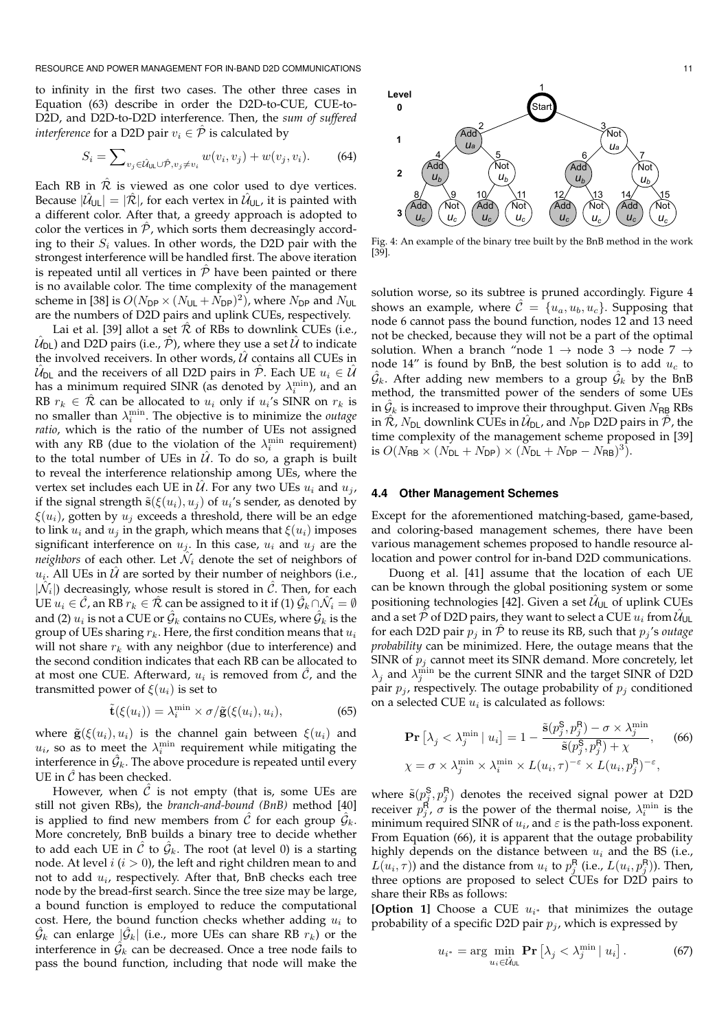to infinity in the first two cases. The other three cases in Equation (63) describe in order the D2D-to-CUE, CUE-to-D2D, and D2D-to-D2D interference. Then, the *sum of suffered interference* for a D2D pair  $v_i \in \hat{\mathcal{P}}$  is calculated by

$$
S_i = \sum_{v_j \in \hat{\mathcal{U}}_{\text{UL}} \cup \hat{\mathcal{P}}, v_j \neq v_i} w(v_i, v_j) + w(v_j, v_i). \tag{64}
$$

Each RB in  $\hat{\mathcal{R}}$  is viewed as one color used to dye vertices. Because  $|\mathcal{\hat{U}}_{\mathsf{UL}}|=|\mathcal{\hat{R}}|$ , for each vertex in  $\mathcal{\hat{U}}_{\mathsf{UL}}$ , it is painted with a different color. After that, a greedy approach is adopted to color the vertices in  $P$ , which sorts them decreasingly according to their  $S_i$  values. In other words, the D2D pair with the strongest interference will be handled first. The above iteration is repeated until all vertices in  $\hat{P}$  have been painted or there is no available color. The time complexity of the management scheme in [38] is  $O(N_{\text{DP}} \times (N_{\text{UL}} + N_{\text{DP}})^2)$ , where  $N_{\text{DP}}$  and  $N_{\text{UL}}$ are the numbers of D2D pairs and uplink CUEs, respectively.

Lai et al. [39] allot a set  $R$  of RBs to downlink CUEs (i.e.,  $\hat{\mathcal{U}}_\mathsf{DL} )$  and D2D pairs (i.e.,  $\hat{\mathcal{P}}$ ), where they use a set  $\hat{\mathcal{U}}$  to indicate the involved receivers. In other words,  $\hat{U}$  contains all CUEs in  $\hat{\mathcal{U}}_\mathsf{DL}$  and the receivers of all D2D pairs in  $\hat{\mathcal{P}}.$  Each UE  $u_i \in \hat{\mathcal{U}}$ has a minimum required SINR (as denoted by  $\lambda_i^{\min}$ ), and an RB  $r_k \in \hat{\mathcal{R}}$  can be allocated to  $u_i$  only if  $u_i$ 's SINR on  $r_k$  is no smaller than  $\lambda_i^{\min}$ . The objective is to minimize the *outage ratio*, which is the ratio of the number of UEs not assigned with any RB (due to the violation of the  $\lambda_i^{\min}$  requirement) to the total number of UEs in  $\hat{U}$ . To do so, a graph is built to reveal the interference relationship among UEs, where the vertex set includes each UE in  $\hat{U}$ . For any two UEs  $u_i$  and  $u_j$ , if the signal strength  $\tilde{\textbf{s}}(\xi(u_i), u_j)$  of  $u_i$ 's sender, as denoted by  $\xi(u_i)$ , gotten by  $u_i$  exceeds a threshold, there will be an edge to link  $u_i$  and  $u_j$  in the graph, which means that  $\xi(u_i)$  imposes significant interference on  $u_j$ . In this case,  $u_i$  and  $u_j$  are the *neighbors* of each other. Let  $\hat{\mathcal{N}}_i$  denote the set of neighbors of  $u_i$ . All UEs in  $\hat{\mathcal{U}}$  are sorted by their number of neighbors (i.e.,  $|\hat{\mathcal{N}}_i|$ ) decreasingly, whose result is stored in  $\hat{\mathcal{C}}$ . Then, for each UE  $u_i\in \hat{\mathcal{C}}$ , an RB  $r_k\in \hat{\mathcal{R}}$  can be assigned to it if (1)  $\hat{\mathcal{G}}_k\cap \hat{\mathcal{N}}_i=\emptyset$ and (2)  $u_i$  is not a CUE or  $\hat{\mathcal{G}}_k$  contains no CUEs, where  $\hat{\mathcal{G}}_k$  is the group of UEs sharing  $r_k$ . Here, the first condition means that  $u_i$ will not share  $r_k$  with any neighbor (due to interference) and the second condition indicates that each RB can be allocated to at most one CUE. Afterward,  $u_i$  is removed from  $\hat{\mathcal{C}}$ , and the transmitted power of  $\xi(u_i)$  is set to

$$
\tilde{\mathbf{t}}(\xi(u_i)) = \lambda_i^{\min} \times \sigma/\tilde{\mathbf{g}}(\xi(u_i), u_i), \tag{65}
$$

where  $\tilde{\mathbf{g}}(\xi(u_i), u_i)$  is the channel gain between  $\xi(u_i)$  and  $u_i$ , so as to meet the  $\lambda_i^{\min}$  requirement while mitigating the interference in  $\hat{G}_k$ . The above procedure is repeated until every UE in  $\hat{C}$  has been checked.

However, when  $\hat{C}$  is not empty (that is, some UEs are still not given RBs), the *branch-and-bound (BnB)* method [40] is applied to find new members from  $\hat{\mathcal{C}}$  for each group  $\hat{\mathcal{G}}_k.$ More concretely, BnB builds a binary tree to decide whether to add each UE in  $\hat{\mathcal{C}}$  to  $\hat{\mathcal{G}}_k$ . The root (at level 0) is a starting node. At level  $i$  ( $i > 0$ ), the left and right children mean to and not to add  $u_i$ , respectively. After that, BnB checks each tree node by the bread-first search. Since the tree size may be large, a bound function is employed to reduce the computational cost. Here, the bound function checks whether adding  $u_i$  to  $\hat{\mathcal{G}}_k$  can enlarge  $|\hat{\mathcal{G}}_k|$  (i.e., more UEs can share RB  $r_k)$  or the interference in  $\hat{\mathcal{G}}_k$  can be decreased. Once a tree node fails to pass the bound function, including that node will make the



Fig. 4: An example of the binary tree built by the BnB method in the work [39].

solution worse, so its subtree is pruned accordingly. Figure 4 shows an example, where  $\hat{\mathcal{C}} = \{u_a, u_b, u_c\}$ . Supposing that node 6 cannot pass the bound function, nodes 12 and 13 need not be checked, because they will not be a part of the optimal solution. When a branch "node 1  $\rightarrow$  node 3  $\rightarrow$  node 7  $\rightarrow$ node 14" is found by BnB, the best solution is to add  $u_c$  to  $\hat{\mathcal{G}}_k$ . After adding new members to a group  $\hat{\mathcal{G}}_k$  by the BnB method, the transmitted power of the senders of some UEs in  $\hat{\mathcal{G}}_k$  is increased to improve their throughput. Given  $N_{\sf RB}$  RBs in  $\hat{\mathcal{R}}$ ,  $N_{\mathsf{DL}}$  downlink CUEs in  $\hat{\mathcal{U}}_{\mathsf{DL}}$ , and  $N_{\mathsf{DP}}$  D2D pairs in  $\hat{\mathcal{P}}$ , the time complexity of the management scheme proposed in [39] is  $O(N_{\mathsf{RB}} \times (N_{\mathsf{DL}} + N_{\mathsf{DP}}) \times (N_{\mathsf{DL}} + N_{\mathsf{DP}} - N_{\mathsf{RB}})^3)$ .

#### **4.4 Other Management Schemes**

Except for the aforementioned matching-based, game-based, and coloring-based management schemes, there have been various management schemes proposed to handle resource allocation and power control for in-band D2D communications.

Duong et al. [41] assume that the location of each UE can be known through the global positioning system or some positioning technologies [42]. Given a set  $\hat{\mathcal{U}}_{\textsf{UL}}$  of uplink CUEs and a set  $\tilde{\mathcal{P}}$  of D2D pairs, they want to select a CUE  $u_i$  from  $\hat{\mathcal{U}}$   $\cup$ for each D2D pair  $p_j$  in  $\hat{P}$  to reuse its RB, such that  $p_j$ 's *outage probability* can be minimized. Here, the outage means that the SINR of  $p_j$  cannot meet its SINR demand. More concretely, let  $\lambda_j$  and  $\lambda_j^{\min}$  be the current SINR and the target SINR of D2D pair  $p_j$ , respectively. The outage probability of  $p_j$  conditioned on a selected CUE  $u_i$  is calculated as follows:

$$
\mathbf{Pr}\left[\lambda_j < \lambda_j^{\min} \mid u_i\right] = 1 - \frac{\tilde{\mathbf{s}}(p_j^{\mathsf{S}}, p_j^{\mathsf{R}}) - \sigma \times \lambda_j^{\min}}{\tilde{\mathbf{s}}(p_j^{\mathsf{S}}, p_j^{\mathsf{R}}) + \chi},\n\chi = \sigma \times \lambda_j^{\min} \times \lambda_i^{\min} \times L(u_i, \tau)^{-\varepsilon} \times L(u_i, p_j^{\mathsf{R}})^{-\varepsilon},
$$
\n(66)

where  $\tilde{\mathbf{s}}(p_j^{\mathsf{S}}, p_j^{\mathsf{R}})$  denotes the received signal power at D2D receiver  $p_j^{\mathsf{R}}, \sigma$  is the power of the thermal noise,  $\lambda_i^{\min}$  is the minimum required SINR of  $u_i$ , and  $\varepsilon$  is the path-loss exponent. From Equation (66), it is apparent that the outage probability highly depends on the distance between  $u_i$  and the BS (i.e.,  $L(u_i, \tau)$ ) and the distance from  $u_i$  to  $p_j^{\textsf{R}}$  (i.e.,  $L(u_i, p_j^{\textsf{R}})$ ). Then, three options are proposed to select CUEs for D2D pairs to share their RBs as follows:

**[Option 1]** Choose a CUE  $u_{i^*}$  that minimizes the outage probability of a specific D2D pair  $p_j$ , which is expressed by

$$
u_{i^*} = \arg\min_{u_i \in \hat{\mathcal{U}}_{\text{UL}}} \mathbf{Pr}\left[\lambda_j < \lambda_j^{\min} \mid u_i\right].\tag{67}
$$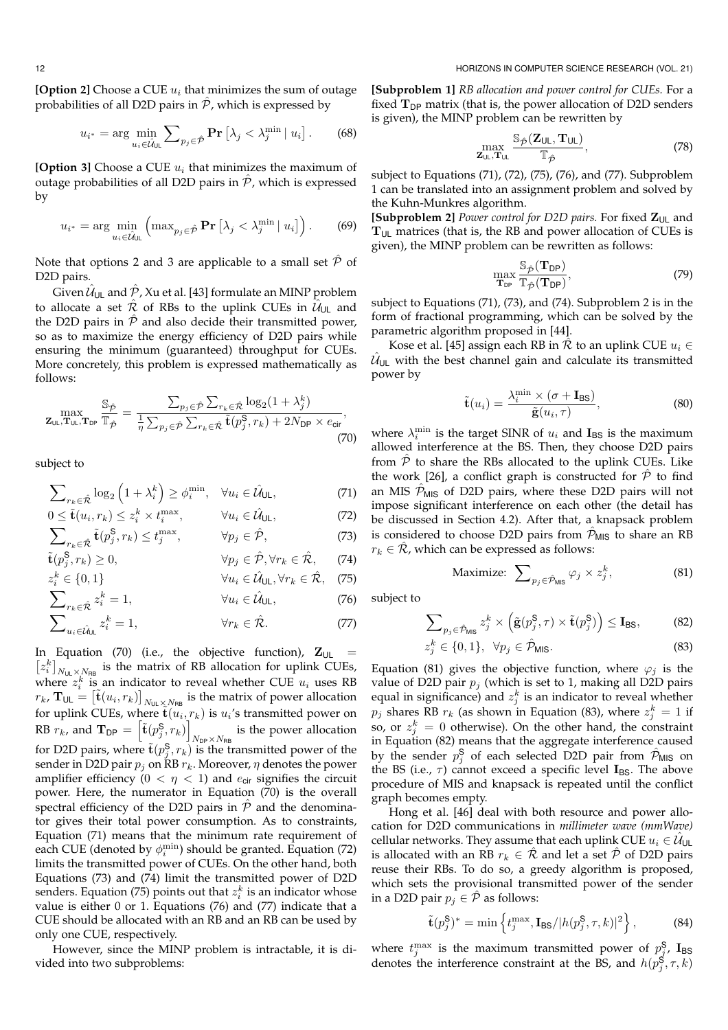**[Option 2]** Choose a CUE  $u_i$  that minimizes the sum of outage probabilities of all D2D pairs in  $\hat{\mathcal{P}}$ , which is expressed by

$$
u_{i^*} = \arg\min_{u_i \in \hat{\mathcal{U}}_{\text{UL}}} \sum_{p_j \in \hat{\mathcal{P}}} \Pr\left[\lambda_j < \lambda_j^{\min} \,|\, u_i\right].\tag{68}
$$

**[Option 3]** Choose a CUE  $u_i$  that minimizes the maximum of outage probabilities of all D2D pairs in  $\hat{\mathcal{P}}$ , which is expressed by

$$
u_{i^*} = \arg\min_{u_i \in \hat{\mathcal{U}}_{\text{UL}}} \left( \max_{p_j \in \hat{\mathcal{P}}} \mathbf{Pr} \left[ \lambda_j < \lambda_j^{\min} \mid u_i \right] \right). \tag{69}
$$

Note that options 2 and 3 are applicable to a small set  $\hat{\mathcal{P}}$  of D2D pairs.

Given  $\hat{\mathcal{U}}_{\mathsf{UL}}$  and  $\hat{\mathcal{P}}$  , Xu et al. [43] formulate an MINP problem to allocate a set  $\hat{\mathcal{R}}$  of RBs to the uplink CUEs in  $\hat{\mathcal{U}}_{\mathsf{UL}}$  and the D2D pairs in  $\hat{\mathcal{P}}$  and also decide their transmitted power, so as to maximize the energy efficiency of D2D pairs while ensuring the minimum (guaranteed) throughput for CUEs. More concretely, this problem is expressed mathematically as follows:

$$
\max_{\mathbf{Z}_{\mathsf{UL}},\mathbf{T}_{\mathsf{UL}},\mathbf{T}_{\mathsf{DP}}} \frac{\mathbb{S}_{\hat{\mathcal{P}}}}{\mathbb{T}_{\hat{\mathcal{P}}}} = \frac{\sum_{p_j \in \hat{\mathcal{P}}} \sum_{r_k \in \hat{\mathcal{R}}} \log_2(1+\lambda_j^k)}{\frac{1}{\eta} \sum_{p_j \in \hat{\mathcal{P}}} \sum_{r_k \in \hat{\mathcal{R}}} \tilde{\mathbf{t}}(p_j^{\mathsf{S}}, r_k) + 2N_{\mathsf{DP}} \times e_{\mathsf{cir}}},\tag{70}
$$

subject to

$$
\sum_{r_k \in \hat{\mathcal{R}}} \log_2 \left( 1 + \lambda_i^k \right) \ge \phi_i^{\min}, \quad \forall u_i \in \hat{\mathcal{U}}_{\text{UL}}, \tag{71}
$$

$$
0 \le \tilde{\mathbf{t}}(u_i, r_k) \le z_i^k \times t_i^{\max}, \qquad \forall u_i \in \hat{\mathcal{U}}_{\text{UL}},
$$
\n
$$
\sum_{r_k \in \hat{\mathcal{R}}} \tilde{\mathbf{t}}(p_j^{\mathsf{S}}, r_k) \le t_j^{\max}, \qquad \forall p_j \in \hat{\mathcal{P}},
$$
\n(73)

$$
\tilde{\mathbf{t}}(p_j^{\mathbf{S}}, r_k) \ge 0, \qquad \forall p_j \in \hat{\mathcal{P}}, \forall r_k \in \hat{\mathcal{R}}, \qquad (74)
$$

$$
z_i^k \in \{0, 1\} \qquad \forall u_i \in \hat{\mathcal{U}}_{\text{UL}}, \forall r_k \in \hat{\mathcal{R}}, \quad (75)
$$

$$
\sum_{r_k \in \hat{\mathcal{R}}} z_i^k = 1, \qquad \forall u_i \in \hat{\mathcal{U}}_{\text{UL}}, \tag{76}
$$

$$
\sum_{u_i \in \hat{\mathcal{U}}_{\text{UL}}} z_i^k = 1, \qquad \forall r_k \in \hat{\mathcal{R}}. \tag{77}
$$

In Equation (70) (i.e., the objective function),  $\mathbf{Z}_{\cup L}$  =  $[z_i^k]_{N_{\text{UL}}\times N_{\text{RB}}}$  is the matrix of RB allocation for uplink CUEs, where  $z_i^k$  is an indicator to reveal whether CUE  $u_i$  uses RB  $r_k$ ,  $\mathbf{T}_{\sf UL} = \big[\tilde{\mathbf{t}}(u_i,r_k)\big]_{N_{\sf UL}\times N_{\sf RB}}$  is the matrix of power allocation for uplink CUEs, where  $\tilde{\mathbf{t}}(\tilde{u}_i, r_k)$  is  $u_i$ 's transmitted power on RB  $r_k$ , and  $\mathbf{T}_{\mathsf{DP}} = \left[ \tilde{\mathbf{t}}(p_j^{\mathsf{S}}, r_k) \right]$  $N_{\text{DP}} \times N_{\text{RB}}$  is the power allocation for D2D pairs, where  $\tilde{\mathbf{t}}(p^{\mathsf{S}}_j, r_k)$  is the transmitted power of the sender in D2D pair  $p_j$  on RB  $r_k$ . Moreover,  $\eta$  denotes the power amplifier efficiency ( $0 < \eta < 1$ ) and  $e_{\text{cir}}$  signifies the circuit power. Here, the numerator in Equation (70) is the overall spectral efficiency of the D2D pairs in  $\hat{P}$  and the denominator gives their total power consumption. As to constraints, Equation (71) means that the minimum rate requirement of each CUE (denoted by  $\phi_i^{\min}$ ) should be granted. Equation (72) limits the transmitted power of CUEs. On the other hand, both Equations (73) and (74) limit the transmitted power of D2D senders. Equation (75) points out that  $z_i^k$  is an indicator whose value is either 0 or 1. Equations (76) and (77) indicate that a CUE should be allocated with an RB and an RB can be used by only one CUE, respectively.

However, since the MINP problem is intractable, it is divided into two subproblems:

**[Subproblem 1]** *RB allocation and power control for CUEs.* For a fixed  $T_{DP}$  matrix (that is, the power allocation of D2D senders is given), the MINP problem can be rewritten by

$$
\max_{\mathbf{Z}_{\text{UL}},\mathbf{T}_{\text{UL}}} \frac{\mathbb{S}_{\hat{\mathcal{P}}}(\mathbf{Z}_{\text{UL}},\mathbf{T}_{\text{UL}})}{\mathbb{T}_{\hat{\mathcal{P}}}},\tag{78}
$$

subject to Equations (71), (72), (75), (76), and (77). Subproblem 1 can be translated into an assignment problem and solved by the Kuhn-Munkres algorithm.

[Subproblem 2] *Power control for D2D pairs*. For fixed  $Z_{UL}$  and  $T_{UL}$  matrices (that is, the RB and power allocation of CUEs is given), the MINP problem can be rewritten as follows:

$$
\max_{\mathbf{T}_{DP}} \frac{\mathbb{S}_{\hat{\mathcal{P}}}(\mathbf{T}_{DP})}{\mathbb{T}_{\hat{\mathcal{P}}}(\mathbf{T}_{DP})},\tag{79}
$$

subject to Equations (71), (73), and (74). Subproblem 2 is in the form of fractional programming, which can be solved by the parametric algorithm proposed in [44].

Kose et al. [45] assign each RB in  $\hat{\mathcal{R}}$  to an uplink CUE  $u_i \in$  $\hat{\mathcal{U}}_{\cup L}$  with the best channel gain and calculate its transmitted power by

$$
\tilde{\mathbf{t}}(u_i) = \frac{\lambda_i^{\min} \times (\sigma + \mathbf{I}_{\text{BS}})}{\tilde{\mathbf{g}}(u_i, \tau)},
$$
\n(80)

where  $\lambda_i^{\min}$  is the target SINR of  $u_i$  and  $\mathbf{I}_{BS}$  is the maximum allowed interference at the BS. Then, they choose D2D pairs from  $\hat{\mathcal{P}}$  to share the RBs allocated to the uplink CUEs. Like the work [26], a conflict graph is constructed for  $\hat{\mathcal{P}}$  to find an MIS  $\hat{\mathcal{P}}_{MIS}$  of D2D pairs, where these D2D pairs will not impose significant interference on each other (the detail has be discussed in Section 4.2). After that, a knapsack problem is considered to choose D2D pairs from  $P_{MIS}$  to share an RB  $r_k \in \mathcal{R}$ , which can be expressed as follows:

$$
\text{Maximize: } \sum_{p_j \in \hat{\mathcal{P}}_{\text{MIS}}} \varphi_j \times z_j^k, \tag{81}
$$

subject to

$$
\sum_{p_j \in \hat{\mathcal{P}}_{\text{MIS}}} z_j^k \times \left( \tilde{\mathbf{g}}(p_j^{\mathsf{S}}, \tau) \times \tilde{\mathbf{t}}(p_j^{\mathsf{S}}) \right) \leq \mathbf{I}_{\text{BS}},\tag{82}
$$

$$
z_j^k \in \{0, 1\}, \ \ \forall p_j \in \hat{\mathcal{P}}_{\text{MIS}}.\tag{83}
$$

Equation (81) gives the objective function, where  $\varphi_i$  is the value of D2D pair  $p_i$  (which is set to 1, making all D2D pairs equal in significance) and  $z_j^k$  is an indicator to reveal whether  $p_j$  shares RB  $r_k$  (as shown in Equation (83), where  $z_j^k = 1$  if so, or  $z_j^k = 0$  otherwise). On the other hand, the constraint in Equation (82) means that the aggregate interference caused by the sender  $p_j^{\mathsf{S}}$  of each selected D2D pair from  $\hat{\mathcal{P}}_{\textsf{MIS}}$  on the BS (i.e.,  $\tau$ ) cannot exceed a specific level  $I_{BS}$ . The above procedure of MIS and knapsack is repeated until the conflict graph becomes empty.

Hong et al. [46] deal with both resource and power allocation for D2D communications in *millimeter wave (mmWave)* cellular networks. They assume that each uplink CUE  $u_i \in \hat{\mathcal{U}}$ uL is allocated with an RB  $r_k \in \mathcal{R}$  and let a set  $\hat{\mathcal{P}}$  of D2D pairs reuse their RBs. To do so, a greedy algorithm is proposed, which sets the provisional transmitted power of the sender in a D2D pair  $p_j \in \mathcal{P}$  as follows:

$$
\tilde{\mathbf{t}}(p_j^{\mathsf{S}})^* = \min\left\{t_j^{\max}, \mathbf{I}_{\mathsf{BS}}/|h(p_j^{\mathsf{S}}, \tau, k)|^2\right\},\tag{84}
$$

where  $t_j^{\max}$  is the maximum transmitted power of  $p_j^{\mathsf{S}}, \mathbf{I}_{\mathsf{BS}}$ denotes the interference constraint at the BS, and  $h(p_j^{\mathsf{S}}, \tau, k)$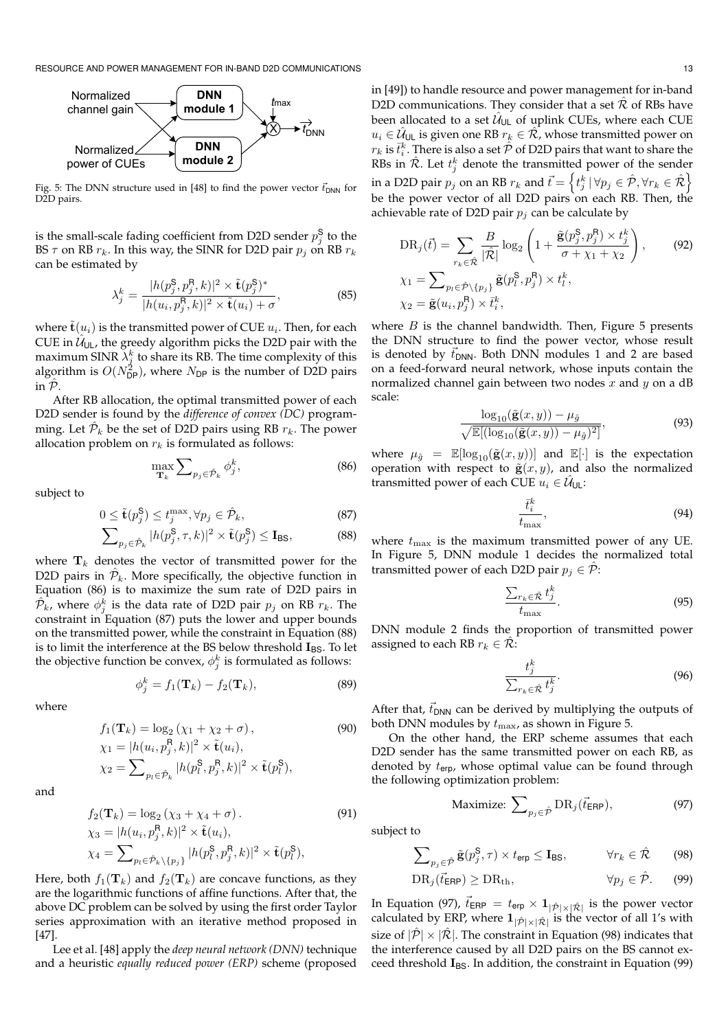

Fig. 5: The DNN structure used in [48] to find the power vector  $\vec{t}_{DNN}$  for D2D pairs.

is the small-scale fading coefficient from D2D sender  $p_j^{\mathsf{S}}$  to the BS  $\tau$  on RB  $r_k$ . In this way, the SINR for D2D pair  $p_i$  on RB  $r_k$ can be estimated by

$$
\lambda_j^k = \frac{|h(p_j^{\mathsf{S}}, p_j^{\mathsf{R}}, k)|^2 \times \tilde{\mathbf{t}}(p_j^{\mathsf{S}})^*}{|h(u_i, p_j^{\mathsf{R}}, k)|^2 \times \tilde{\mathbf{t}}(u_i) + \sigma},\tag{85}
$$

where  $\tilde{\textbf{t}}(u_i)$  is the transmitted power of CUE  $u_i$ . Then, for each CUE in  $\hat{\mathcal{U}}_{\mathsf{UL}}$ , the greedy algorithm picks the D2D pair with the maximum SINR  $\lambda_j^k$  to share its RB. The time complexity of this algorithm is  $O(N_{\text{DP}}^2)$ , where  $N_{\text{DP}}$  is the number of D2D pairs in  $\hat{\mathcal{P}}$ .

After RB allocation, the optimal transmitted power of each D2D sender is found by the *difference of convex (DC)* programming. Let  $\hat{\mathcal{P}}_k$  be the set of D2D pairs using RB  $r_k$ . The power allocation problem on  $r_k$  is formulated as follows:

$$
\max_{\mathbf{T}_k} \sum_{p_j \in \hat{\mathcal{P}}_k} \phi_j^k, \tag{86}
$$

subject to

$$
0 \leq \tilde{\mathbf{t}}(p_j^{\mathsf{S}}) \leq t_j^{\max}, \forall p_j \in \hat{\mathcal{P}}_k,\tag{87}
$$

$$
\sum_{p_j \in \hat{\mathcal{P}}_k} |h(p_j^{\mathbf{S}}, \tau, k)|^2 \times \tilde{\mathbf{t}}(p_j^{\mathbf{S}}) \le \mathbf{I}_{\text{BS}},
$$
 (88)

where  $\mathbf{T}_k$  denotes the vector of transmitted power for the D2D pairs in  $\hat{\mathcal{P}}_k$ . More specifically, the objective function in Equation (86) is to maximize the sum rate of D2D pairs in  $\hat{\mathcal{P}_{k}}$ , where  $\phi_{j}^{k}$  is the data rate of D2D pair  $p_{j}$  on RB  $r_{k}$ . The constraint in Equation (87) puts the lower and upper bounds on the transmitted power, while the constraint in Equation (88) is to limit the interference at the BS below threshold  $I_{BS}$ . To let the objective function be convex,  $\phi_j^k$  is formulated as follows:

$$
\phi_j^k = f_1(\mathbf{T}_k) - f_2(\mathbf{T}_k),\tag{89}
$$

where

$$
f_1(\mathbf{T}_k) = \log_2(\chi_1 + \chi_2 + \sigma),
$$
  
\n
$$
\chi_1 = |h(u_i, p_j^{\mathsf{R}}, k)|^2 \times \tilde{\mathbf{t}}(u_i),
$$
  
\n
$$
\chi_2 = \sum_{p_l \in \hat{\mathcal{P}}_k} |h(p_l^{\mathsf{S}}, p_j^{\mathsf{R}}, k)|^2 \times \tilde{\mathbf{t}}(p_l^{\mathsf{S}}),
$$
\n(90)

and

$$
f_2(\mathbf{T}_k) = \log_2(\chi_3 + \chi_4 + \sigma).
$$
  
\n
$$
\chi_3 = |h(u_i, p_j^{\mathsf{R}}, k)|^2 \times \tilde{\mathbf{t}}(u_i),
$$
  
\n
$$
\chi_4 = \sum_{p_l \in \hat{\mathcal{P}}_k \setminus \{p_j\}} |h(p_l^{\mathsf{S}}, p_j^{\mathsf{R}}, k)|^2 \times \tilde{\mathbf{t}}(p_l^{\mathsf{S}}),
$$
\n(91)

Here, both  $f_1(\mathbf{T}_k)$  and  $f_2(\mathbf{T}_k)$  are concave functions, as they are the logarithmic functions of affine functions. After that, the above DC problem can be solved by using the first order Taylor series approximation with an iterative method proposed in [47].

Lee et al. [48] apply the *deep neural network (DNN)* technique and a heuristic *equally reduced power (ERP)* scheme (proposed

in [49]) to handle resource and power management for in-band D2D communications. They consider that a set  $\mathcal R$  of RBs have been allocated to a set  $\hat{\mathcal{U}}_{\mathsf{UL}}$  of uplink CUEs, where each CUE  $u_i \in \hat{\mathcal{U}}$ u $_{\mathsf{L}}$  is given one RB  $r_k \in \hat{\mathcal{R}}$ , whose transmitted power on  $r_k$  is  $\bar{t}_i^k$ . There is also a set  $\hat{\mathcal{P}}$  of D2D pairs that want to share the RBs in  $\hat{\mathcal{R}}$ . Let  $t_j^k$  denote the transmitted power of the sender in a D2D pair  $p_j$  on an RB  $r_k$  and  $\vec{t} = \left\{t_j^k\,|\,\forall p_j\in\hat{\mathcal{P}}, \forall r_k\in\hat{\mathcal{R}}\right\}$ be the power vector of all D2D pairs on each RB. Then, the achievable rate of D2D pair  $p_i$  can be calculate by

$$
DR_j(\vec{t}) = \sum_{r_k \in \hat{\mathcal{R}}} \frac{B}{|\hat{\mathcal{R}}|} \log_2 \left( 1 + \frac{\tilde{\mathbf{g}}(p_j^{\mathsf{S}}, p_j^{\mathsf{R}}) \times t_j^k}{\sigma + \chi_1 + \chi_2} \right), \qquad (92)
$$

$$
\chi_1 = \sum_{p_l \in \hat{\mathcal{P}} \setminus \{p_j\}} \tilde{\mathbf{g}}(p_l^{\mathsf{S}}, p_j^{\mathsf{R}}) \times t_l^k,
$$

$$
\chi_2 = \tilde{\mathbf{g}}(u_i, p_j^{\mathsf{R}}) \times \bar{t}_i^k,
$$

where  $B$  is the channel bandwidth. Then, Figure 5 presents the DNN structure to find the power vector, whose result is denoted by  $\vec{t}_{DNN}$ . Both DNN modules 1 and 2 are based on a feed-forward neural network, whose inputs contain the normalized channel gain between two nodes  $x$  and  $y$  on a dB scale:

$$
\frac{\log_{10}(\tilde{\mathbf{g}}(x,y)) - \mu_{\hat{g}}}{\sqrt{\mathbb{E}[(\log_{10}(\tilde{\mathbf{g}}(x,y)) - \mu_{\hat{g}})^2]}},\tag{93}
$$

where  $\mu_{\hat{g}} = \mathbb{E}[\log_{10}(\tilde{g}(x, y))]$  and  $\mathbb{E}[\cdot]$  is the expectation operation with respect to  $\tilde{\mathbf{g}}(x, y)$ , and also the normalized transmitted power of each CUE  $u_i \in \hat{\mathcal{U}}_{\cup L}$ :

$$
\frac{\bar{t}_i^k}{t_{\text{max}}},\tag{94}
$$

where  $t_{\text{max}}$  is the maximum transmitted power of any UE. In Figure 5, DNN module 1 decides the normalized total transmitted power of each D2D pair  $p_i \in \hat{\mathcal{P}}$ :

$$
\frac{\sum_{r_k \in \hat{\mathcal{R}}} t_j^k}{t_{\text{max}}}.
$$
\n(95)

DNN module 2 finds the proportion of transmitted power assigned to each RB  $r_k \in \mathcal{R}$ :

$$
\frac{t_j^k}{\sum_{r_k \in \hat{\mathcal{R}}} t_j^k}.
$$
\n(96)

After that,  $t_{DNN}$  can be derived by multiplying the outputs of both DNN modules by  $t_{\text{max}}$ , as shown in Figure 5.

On the other hand, the ERP scheme assumes that each D2D sender has the same transmitted power on each RB, as denoted by  $t_{\text{erp}}$ , whose optimal value can be found through the following optimization problem:

$$
\text{Maximize: } \sum_{p_j \in \hat{\mathcal{P}}} \text{DR}_j(\vec{t}_{\textsf{ERP}}), \tag{97}
$$

subject to

$$
\sum_{p_j \in \hat{\mathcal{P}}} \tilde{\mathbf{g}}(p_j^{\mathsf{S}}, \tau) \times t_{\text{erp}} \le \mathbf{I}_{\text{BS}}, \qquad \forall r_k \in \hat{\mathcal{R}} \qquad (98)
$$

$$
DR_j(\vec{t}_{\textsf{ERP}}) \ge DR_{\text{th}}, \qquad \forall p_j \in \hat{\mathcal{P}}. \qquad (99)
$$

In Equation (97),  $\vec{t}_{\textsf{ERP}} = t_{\textsf{erp}} \times \mathbf{1}_{|\hat{\mathcal{P}}| \times |\hat{\mathcal{R}}|}$  is the power vector calculated by ERP, where  $\mathbf{1}_{|\hat{\mathcal{P}}|\times|\hat{\mathcal{R}}|}$  is the vector of all 1's with size of  $|\hat{\mathcal{P}}| \times |\hat{\mathcal{R}}|$ . The constraint in Equation (98) indicates that the interference caused by all D2D pairs on the BS cannot exceed threshold  $I_{BS}$ . In addition, the constraint in Equation (99)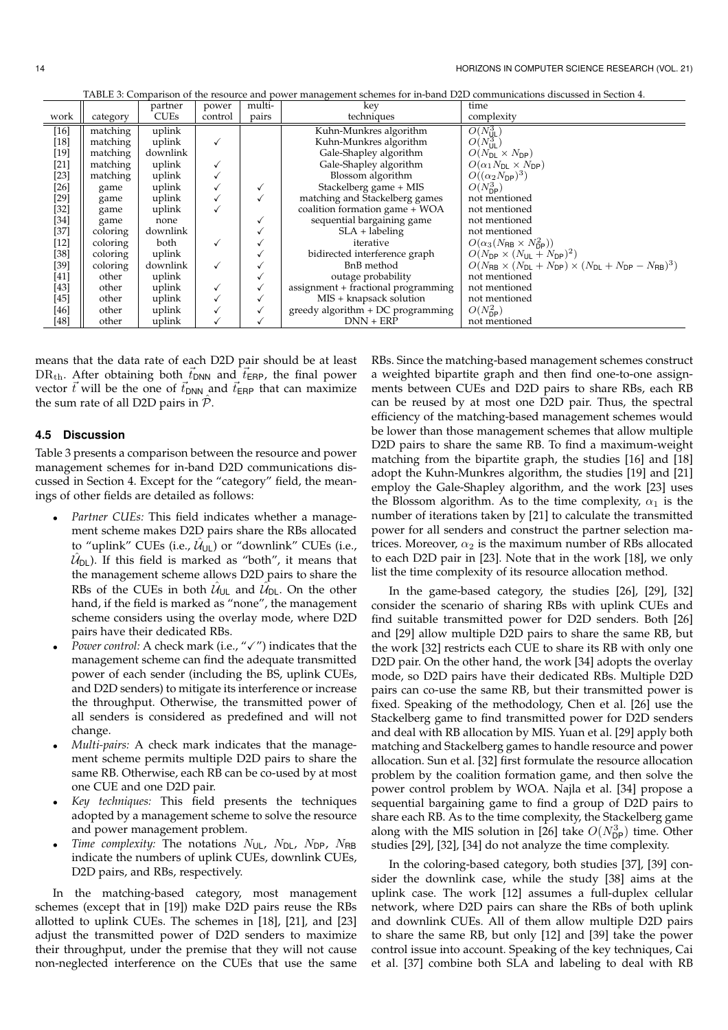|  |                                      |          |        |        |              | TABLE 3: Comparison of the resource and power management schemes for in-band D2D communications discussed in Section 4. |
|--|--------------------------------------|----------|--------|--------|--------------|-------------------------------------------------------------------------------------------------------------------------|
|  | <b><i><u><b>AAA</b>MAAAA</u></i></b> | 22011708 | ------ | $\sim$ | <b>Lange</b> |                                                                                                                         |

|                                            | multi-<br>partner<br>kev<br>power |          |            | time       |                                     |                                                                                                  |
|--------------------------------------------|-----------------------------------|----------|------------|------------|-------------------------------------|--------------------------------------------------------------------------------------------------|
| <b>CUEs</b><br>work<br>control<br>category |                                   | pairs    | techniques | complexity |                                     |                                                                                                  |
| $[16]$                                     | matching                          | uplink   |            |            | Kuhn-Munkres algorithm              | $O(N_{\text{UL}}^3)$                                                                             |
| $[18]$                                     | matching                          | uplink   |            |            | Kuhn-Munkres algorithm              | $O(N_{\text{UL}}^{3})$                                                                           |
| $[19]$                                     | matching                          | downlink |            |            | Gale-Shapley algorithm              | $O(N_{\text{DL}} \times N_{\text{DP}})$                                                          |
| $[21]$                                     | matching                          | uplink   |            |            | Gale-Shapley algorithm              | $O(\alpha_1 N_{\text{DL}} \times N_{\text{DP}})$                                                 |
| $[23]$                                     | matching                          | uplink   |            |            | Blossom algorithm                   | $O((\alpha_2 N_{\text{DP}})^3)$                                                                  |
| $[26]$                                     | game                              | uplink   |            | ✓          | Stackelberg game + MIS              | $O(N_{\rm DP}^3)$                                                                                |
| [29]                                       | game                              | uplink   |            | ✓          | matching and Stackelberg games      | not mentioned                                                                                    |
| $[32]$                                     | game                              | uplink   |            |            | coalition formation game + WOA      | not mentioned                                                                                    |
| $[34]$                                     | game                              | none     |            |            | sequential bargaining game          | not mentioned                                                                                    |
| $[37]$                                     | coloring                          | downlink |            |            | $SLA + labeling$                    | not mentioned                                                                                    |
| $[12]$                                     | coloring                          | both     |            |            | iterative                           | $O(\alpha_3(N_{\rm RB} \times N_{\rm DP}^2))$                                                    |
| $[38]$                                     | coloring                          | uplink   |            |            | bidirected interference graph       | $O(N_{\text{DP}} \times (N_{\text{UL}} + N_{\text{DP}})^2)$                                      |
| $[39]$                                     | coloring                          | downlink | ✓          |            | BnB method                          | $O(N_{\rm RB} \times (N_{\rm DL} + N_{\rm DP}) \times (N_{\rm DL} + N_{\rm DP} - N_{\rm RB})^3)$ |
| [41]                                       | other                             | uplink   |            |            | outage probability                  | not mentioned                                                                                    |
| [43]                                       | other                             | uplink   |            | ✓          | assignment + fractional programming | not mentioned                                                                                    |
| $[45]$                                     | other                             | uplink   |            |            | MIS + knapsack solution             | not mentioned                                                                                    |
| [46]                                       | other                             | uplink   |            |            | greedy algorithm $+DC$ programming  | $O(N_{\text{DP}}^2)$                                                                             |
| [48]                                       | other                             | uplink   |            |            | $DNN + ERP$                         | not mentioned                                                                                    |

means that the data rate of each D2D pair should be at least  $DR<sub>th</sub>$ . After obtaining both  $\vec{t}_{DNN}$  and  $\vec{t}_{ERP}$ , the final power vector  $\vec{t}$  will be the one of  $\vec{t}_{DNN}$  and  $\vec{t}_{ERP}$  that can maximize the sum rate of all D2D pairs in  $\hat{P}$ .

## **4.5 Discussion**

Table 3 presents a comparison between the resource and power management schemes for in-band D2D communications discussed in Section 4. Except for the "category" field, the meanings of other fields are detailed as follows:

- *Partner CUEs:* This field indicates whether a management scheme makes D2D pairs share the RBs allocated to "uplink" CUEs (i.e.,  $\hat{\mathcal{U}}_{\mathsf{UL}}$ ) or "downlink" CUEs (i.e.,  $\hat{\mathcal{U}}_\mathsf{DL}$ ). If this field is marked as "both", it means that the management scheme allows D2D pairs to share the RBs of the CUEs in both  $\hat{\mathcal{U}}_{\mathsf{UL}}$  and  $\hat{\mathcal{U}}_{\mathsf{DL}}$ . On the other hand, if the field is marked as "none", the management scheme considers using the overlay mode, where D2D pairs have their dedicated RBs.
- *Power control:* A check mark (i.e., " $\checkmark$  ") indicates that the management scheme can find the adequate transmitted power of each sender (including the BS, uplink CUEs, and D2D senders) to mitigate its interference or increase the throughput. Otherwise, the transmitted power of all senders is considered as predefined and will not change.
- *Multi-pairs:* A check mark indicates that the management scheme permits multiple D2D pairs to share the same RB. Otherwise, each RB can be co-used by at most one CUE and one D2D pair.
- *Key techniques:* This field presents the techniques adopted by a management scheme to solve the resource and power management problem.
- *Time complexity:* The notations  $N_{\text{UL}}$ ,  $N_{\text{DL}}$ ,  $N_{\text{DP}}$ ,  $N_{\text{RB}}$ indicate the numbers of uplink CUEs, downlink CUEs, D2D pairs, and RBs, respectively.

In the matching-based category, most management schemes (except that in [19]) make D2D pairs reuse the RBs allotted to uplink CUEs. The schemes in [18], [21], and [23] adjust the transmitted power of D2D senders to maximize their throughput, under the premise that they will not cause non-neglected interference on the CUEs that use the same

RBs. Since the matching-based management schemes construct a weighted bipartite graph and then find one-to-one assignments between CUEs and D2D pairs to share RBs, each RB can be reused by at most one D2D pair. Thus, the spectral efficiency of the matching-based management schemes would be lower than those management schemes that allow multiple D2D pairs to share the same RB. To find a maximum-weight matching from the bipartite graph, the studies [16] and [18] adopt the Kuhn-Munkres algorithm, the studies [19] and [21] employ the Gale-Shapley algorithm, and the work [23] uses the Blossom algorithm. As to the time complexity,  $\alpha_1$  is the number of iterations taken by [21] to calculate the transmitted power for all senders and construct the partner selection matrices. Moreover,  $\alpha_2$  is the maximum number of RBs allocated to each D2D pair in [23]. Note that in the work [18], we only list the time complexity of its resource allocation method.

In the game-based category, the studies [26], [29], [32] consider the scenario of sharing RBs with uplink CUEs and find suitable transmitted power for D2D senders. Both [26] and [29] allow multiple D2D pairs to share the same RB, but the work [32] restricts each CUE to share its RB with only one D2D pair. On the other hand, the work [34] adopts the overlay mode, so D2D pairs have their dedicated RBs. Multiple D2D pairs can co-use the same RB, but their transmitted power is fixed. Speaking of the methodology, Chen et al. [26] use the Stackelberg game to find transmitted power for D2D senders and deal with RB allocation by MIS. Yuan et al. [29] apply both matching and Stackelberg games to handle resource and power allocation. Sun et al. [32] first formulate the resource allocation problem by the coalition formation game, and then solve the power control problem by WOA. Najla et al. [34] propose a sequential bargaining game to find a group of D2D pairs to share each RB. As to the time complexity, the Stackelberg game along with the MIS solution in [26] take  $O(N_{\text{DP}}^3)$  time. Other studies [29], [32], [34] do not analyze the time complexity.

In the coloring-based category, both studies [37], [39] consider the downlink case, while the study [38] aims at the uplink case. The work [12] assumes a full-duplex cellular network, where D2D pairs can share the RBs of both uplink and downlink CUEs. All of them allow multiple D2D pairs to share the same RB, but only [12] and [39] take the power control issue into account. Speaking of the key techniques, Cai et al. [37] combine both SLA and labeling to deal with RB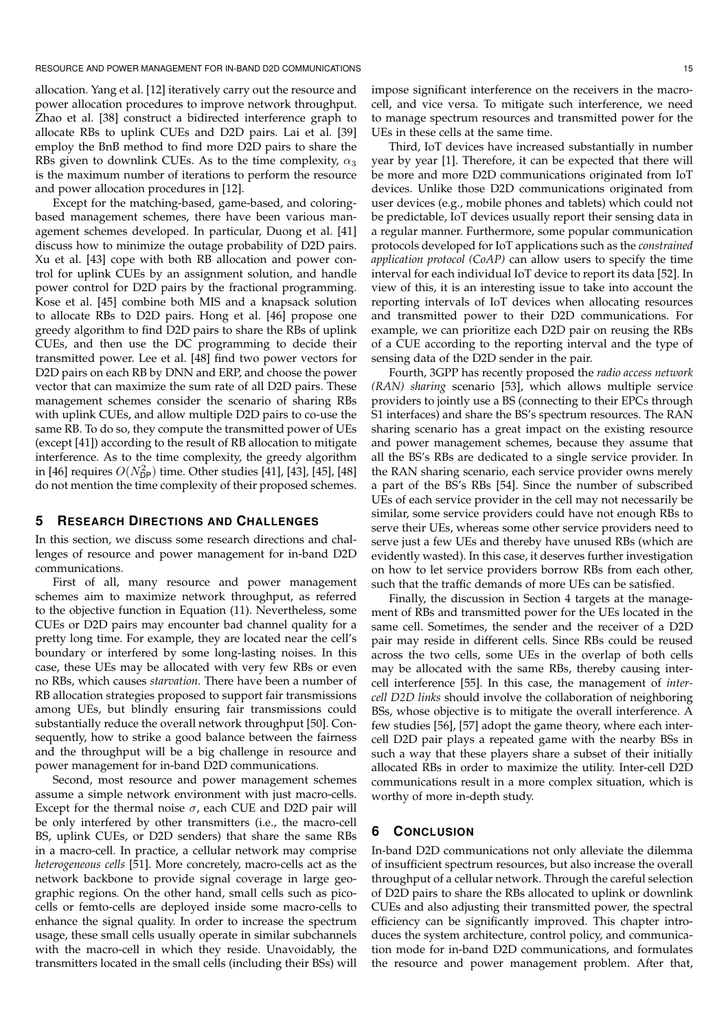RESOURCE AND POWER MANAGEMENT FOR IN-BAND D2D COMMUNICATIONS 15

allocation. Yang et al. [12] iteratively carry out the resource and power allocation procedures to improve network throughput. Zhao et al. [38] construct a bidirected interference graph to allocate RBs to uplink CUEs and D2D pairs. Lai et al. [39] employ the BnB method to find more D2D pairs to share the RBs given to downlink CUEs. As to the time complexity,  $\alpha_3$ is the maximum number of iterations to perform the resource and power allocation procedures in [12].

Except for the matching-based, game-based, and coloringbased management schemes, there have been various management schemes developed. In particular, Duong et al. [41] discuss how to minimize the outage probability of D2D pairs. Xu et al. [43] cope with both RB allocation and power control for uplink CUEs by an assignment solution, and handle power control for D2D pairs by the fractional programming. Kose et al. [45] combine both MIS and a knapsack solution to allocate RBs to D2D pairs. Hong et al. [46] propose one greedy algorithm to find D2D pairs to share the RBs of uplink CUEs, and then use the DC programming to decide their transmitted power. Lee et al. [48] find two power vectors for D2D pairs on each RB by DNN and ERP, and choose the power vector that can maximize the sum rate of all D2D pairs. These management schemes consider the scenario of sharing RBs with uplink CUEs, and allow multiple D2D pairs to co-use the same RB. To do so, they compute the transmitted power of UEs (except [41]) according to the result of RB allocation to mitigate interference. As to the time complexity, the greedy algorithm in [46] requires  $O(N_{\mathsf{DP}}^2)$  time. Other studies [41], [43], [45], [48] do not mention the time complexity of their proposed schemes.

## **5 RESEARCH DIRECTIONS AND CHALLENGES**

In this section, we discuss some research directions and challenges of resource and power management for in-band D2D communications.

First of all, many resource and power management schemes aim to maximize network throughput, as referred to the objective function in Equation (11). Nevertheless, some CUEs or D2D pairs may encounter bad channel quality for a pretty long time. For example, they are located near the cell's boundary or interfered by some long-lasting noises. In this case, these UEs may be allocated with very few RBs or even no RBs, which causes *starvation*. There have been a number of RB allocation strategies proposed to support fair transmissions among UEs, but blindly ensuring fair transmissions could substantially reduce the overall network throughput [50]. Consequently, how to strike a good balance between the fairness and the throughput will be a big challenge in resource and power management for in-band D2D communications.

Second, most resource and power management schemes assume a simple network environment with just macro-cells. Except for the thermal noise  $\sigma$ , each CUE and D2D pair will be only interfered by other transmitters (i.e., the macro-cell BS, uplink CUEs, or D2D senders) that share the same RBs in a macro-cell. In practice, a cellular network may comprise *heterogeneous cells* [51]. More concretely, macro-cells act as the network backbone to provide signal coverage in large geographic regions. On the other hand, small cells such as picocells or femto-cells are deployed inside some macro-cells to enhance the signal quality. In order to increase the spectrum usage, these small cells usually operate in similar subchannels with the macro-cell in which they reside. Unavoidably, the transmitters located in the small cells (including their BSs) will

impose significant interference on the receivers in the macrocell, and vice versa. To mitigate such interference, we need to manage spectrum resources and transmitted power for the UEs in these cells at the same time.

Third, IoT devices have increased substantially in number year by year [1]. Therefore, it can be expected that there will be more and more D2D communications originated from IoT devices. Unlike those D2D communications originated from user devices (e.g., mobile phones and tablets) which could not be predictable, IoT devices usually report their sensing data in a regular manner. Furthermore, some popular communication protocols developed for IoT applications such as the *constrained application protocol (CoAP)* can allow users to specify the time interval for each individual IoT device to report its data [52]. In view of this, it is an interesting issue to take into account the reporting intervals of IoT devices when allocating resources and transmitted power to their D2D communications. For example, we can prioritize each D2D pair on reusing the RBs of a CUE according to the reporting interval and the type of sensing data of the D2D sender in the pair.

Fourth, 3GPP has recently proposed the *radio access network (RAN) sharing* scenario [53], which allows multiple service providers to jointly use a BS (connecting to their EPCs through S1 interfaces) and share the BS's spectrum resources. The RAN sharing scenario has a great impact on the existing resource and power management schemes, because they assume that all the BS's RBs are dedicated to a single service provider. In the RAN sharing scenario, each service provider owns merely a part of the BS's RBs [54]. Since the number of subscribed UEs of each service provider in the cell may not necessarily be similar, some service providers could have not enough RBs to serve their UEs, whereas some other service providers need to serve just a few UEs and thereby have unused RBs (which are evidently wasted). In this case, it deserves further investigation on how to let service providers borrow RBs from each other, such that the traffic demands of more UEs can be satisfied.

Finally, the discussion in Section 4 targets at the management of RBs and transmitted power for the UEs located in the same cell. Sometimes, the sender and the receiver of a D2D pair may reside in different cells. Since RBs could be reused across the two cells, some UEs in the overlap of both cells may be allocated with the same RBs, thereby causing intercell interference [55]. In this case, the management of *intercell D2D links* should involve the collaboration of neighboring BSs, whose objective is to mitigate the overall interference. A few studies [56], [57] adopt the game theory, where each intercell D2D pair plays a repeated game with the nearby BSs in such a way that these players share a subset of their initially allocated RBs in order to maximize the utility. Inter-cell D2D communications result in a more complex situation, which is worthy of more in-depth study.

## **6 CONCLUSION**

In-band D2D communications not only alleviate the dilemma of insufficient spectrum resources, but also increase the overall throughput of a cellular network. Through the careful selection of D2D pairs to share the RBs allocated to uplink or downlink CUEs and also adjusting their transmitted power, the spectral efficiency can be significantly improved. This chapter introduces the system architecture, control policy, and communication mode for in-band D2D communications, and formulates the resource and power management problem. After that,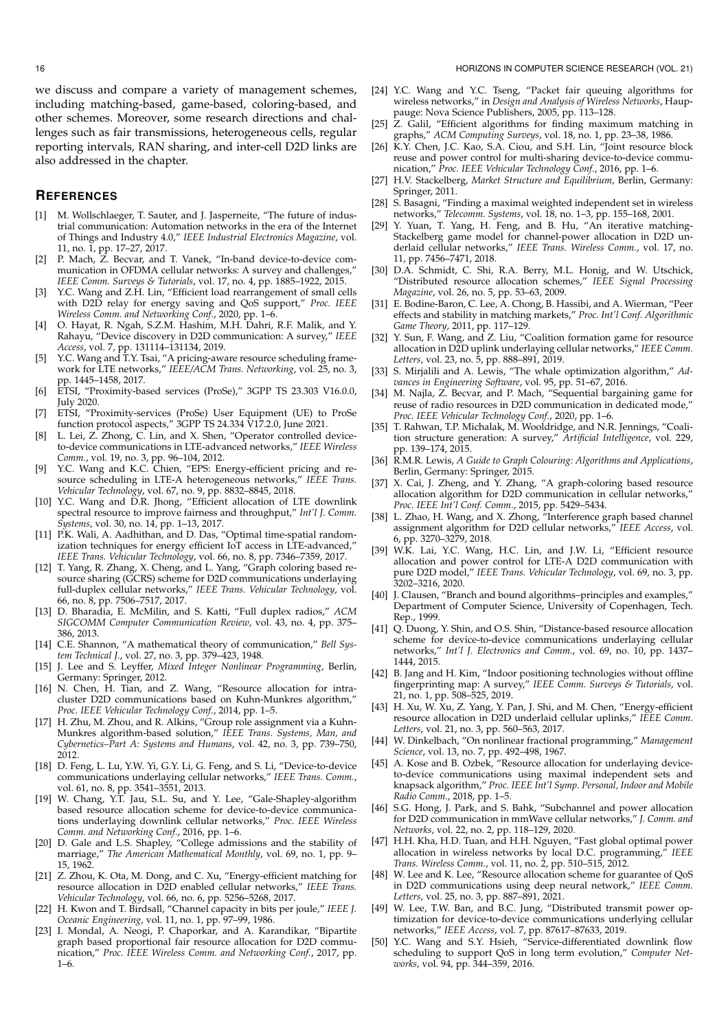#### **REFERENCES**

- [1] M. Wollschlaeger, T. Sauter, and J. Jasperneite, "The future of industrial communication: Automation networks in the era of the Internet of Things and Industry 4.0," *IEEE Industrial Electronics Magazine*, vol. 11, no. 1, pp. 17–27, 2017.
- P. Mach, Z. Becvar, and T. Vanek, "In-band device-to-device communication in OFDMA cellular networks: A survey and challenges," *IEEE Comm. Surveys & Tutorials*, vol. 17, no. 4, pp. 1885–1922, 2015.
- [3] Y.C. Wang and Z.H. Lin, "Efficient load rearrangement of small cells with D2D relay for energy saving and QoS support," *Proc. IEEE Wireless Comm. and Networking Conf.*, 2020, pp. 1–6.
- [4] O. Hayat, R. Ngah, S.Z.M. Hashim, M.H. Dahri, R.F. Malik, and Y. Rahayu, "Device discovery in D2D communication: A survey," *IEEE Access*, vol. 7, pp. 131114–131134, 2019.
- [5] Y.C. Wang and T.Y. Tsai, "A pricing-aware resource scheduling framework for LTE networks," *IEEE/ACM Trans. Networking*, vol. 25, no. 3, pp. 1445–1458, 2017.
- [6] ETSI, "Proximity-based services (ProSe)," 3GPP TS 23.303 V16.0.0, July 2020.
- [7] ETSI, "Proximity-services (ProSe) User Equipment (UE) to ProSe function protocol aspects," 3GPP TS 24.334 V17.2.0, June 2021.
- L. Lei, Z. Zhong, C. Lin, and X. Shen, "Operator controlled deviceto-device communications in LTE-advanced networks," *IEEE Wireless Comm.*, vol. 19, no. 3, pp. 96–104, 2012.
- [9] Y.C. Wang and K.C. Chien, "EPS: Energy-efficient pricing and resource scheduling in LTE-A heterogeneous networks," *IEEE Trans. Vehicular Technology*, vol. 67, no. 9, pp. 8832–8845, 2018.
- [10] Y.C. Wang and D.R. Jhong, "Efficient allocation of LTE downlink spectral resource to improve fairness and throughput," *Int'l J. Comm. Systems*, vol. 30, no. 14, pp. 1–13, 2017.
- [11] P.K. Wali, A. Aadhithan, and D. Das, "Optimal time-spatial randomization techniques for energy efficient IoT access in LTE-advanced," *IEEE Trans. Vehicular Technology*, vol. 66, no. 8, pp. 7346–7359, 2017.
- [12] T. Yang, R. Zhang, X. Cheng, and L. Yang, "Graph coloring based resource sharing (GCRS) scheme for D2D communications underlaying full-duplex cellular networks," *IEEE Trans. Vehicular Technology*, vol. 66, no. 8, pp. 7506–7517, 2017.
- [13] D. Bharadia, E. McMilin, and S. Katti, "Full duplex radios," *ACM SIGCOMM Computer Communication Review*, vol. 43, no. 4, pp. 375– 386, 2013.
- [14] C.E. Shannon, "A mathematical theory of communication," *Bell System Technical J.*, vol. 27, no. 3, pp. 379–423, 1948.
- [15] J. Lee and S. Leyffer, *Mixed Integer Nonlinear Programming*, Berlin, Germany: Springer, 2012.
- [16] N. Chen, H. Tian, and Z. Wang, "Resource allocation for intracluster D2D communications based on Kuhn-Munkres algorithm," *Proc. IEEE Vehicular Technology Conf.*, 2014, pp. 1–5.
- [17] H. Zhu, M. Zhou, and R. Alkins, "Group role assignment via a Kuhn-Munkres algorithm-based solution," *IEEE Trans. Systems, Man, and Cybernetics–Part A: Systems and Humans*, vol. 42, no. 3, pp. 739–750, 2012.
- [18] D. Feng, L. Lu, Y.W. Yi, G.Y. Li, G. Feng, and S. Li, "Device-to-device communications underlaying cellular networks," *IEEE Trans. Comm.*, vol. 61, no. 8, pp. 3541–3551, 2013.
- [19] W. Chang, Y.T. Jau, S.L. Su, and Y. Lee, "Gale-Shapley-algorithm based resource allocation scheme for device-to-device communications underlaying downlink cellular networks," *Proc. IEEE Wireless Comm. and Networking Conf.*, 2016, pp. 1–6.
- [20] D. Gale and L.S. Shapley, "College admissions and the stability of marriage," *The American Mathematical Monthly*, vol. 69, no. 1, pp. 9– 15, 1962.
- [21] Z. Zhou, K. Ota, M. Dong, and C. Xu, "Energy-efficient matching for resource allocation in D2D enabled cellular networks," *IEEE Trans. Vehicular Technology*, vol. 66, no. 6, pp. 5256–5268, 2017.
- [22] H. Kwon and T. Birdsall, "Channel capacity in bits per joule," *IEEE J. Oceanic Engineering*, vol. 11, no. 1, pp. 97–99, 1986.
- [23] I. Mondal, A. Neogi, P. Chaporkar, and A. Karandikar, "Bipartite graph based proportional fair resource allocation for D2D communication," *Proc. IEEE Wireless Comm. and Networking Conf.*, 2017, pp. 1–6.
- [24] Y.C. Wang and Y.C. Tseng, "Packet fair queuing algorithms for wireless networks," in *Design and Analysis of Wireless Networks*, Hauppauge: Nova Science Publishers, 2005, pp. 113–128.
- [25] Z. Galil, "Efficient algorithms for finding maximum matching in graphs," *ACM Computing Surveys*, vol. 18, no. 1, pp. 23–38, 1986.
- [26] K.Y. Chen, J.C. Kao, S.A. Ciou, and S.H. Lin, "Joint resource block reuse and power control for multi-sharing device-to-device communication," *Proc. IEEE Vehicular Technology Conf.*, 2016, pp. 1–6.
- [27] H.V. Stackelberg, *Market Structure and Equilibrium*, Berlin, Germany: Springer, 2011.
- [28] S. Basagni, "Finding a maximal weighted independent set in wireless networks," *Telecomm. Systems*, vol. 18, no. 1–3, pp. 155–168, 2001.
- [29] Y. Yuan, T. Yang, H. Feng, and B. Hu, "An iterative matching-Stackelberg game model for channel-power allocation in D2D underlaid cellular networks," *IEEE Trans. Wireless Comm.*, vol. 17, no. 11, pp. 7456–7471, 2018.
- [30] D.A. Schmidt, C. Shi, R.A. Berry, M.L. Honig, and W. Utschick, "Distributed resource allocation schemes," *IEEE Signal Processing Magazine*, vol. 26, no. 5, pp. 53–63, 2009.
- [31] E. Bodine-Baron, C. Lee, A. Chong, B. Hassibi, and A. Wierman, "Peer effects and stability in matching markets," *Proc. Int'l Conf. Algorithmic Game Theory*, 2011, pp. 117–129.
- [32] Y. Sun, F. Wang, and Z. Liu, "Coalition formation game for resource allocation in D2D uplink underlaying cellular networks," *IEEE Comm. Letters*, vol. 23, no. 5, pp. 888–891, 2019.
- [33] S. Mirjalili and A. Lewis, "The whale optimization algorithm," *Advances in Engineering Software*, vol. 95, pp. 51–67, 2016.
- [34] M. Najla, Z. Becvar, and P. Mach, "Sequential bargaining game for reuse of radio resources in D2D communication in dedicated mode," *Proc. IEEE Vehicular Technology Conf.*, 2020, pp. 1–6.
- [35] T. Rahwan, T.P. Michalak, M. Wooldridge, and N.R. Jennings, "Coalition structure generation: A survey," *Artificial Intelligence*, vol. 229, pp. 139–174, 2015.
- [36] R.M.R. Lewis, *A Guide to Graph Colouring: Algorithms and Applications*, Berlin, Germany: Springer, 2015.
- [37] X. Cai, J. Zheng, and Y. Zhang, "A graph-coloring based resource allocation algorithm for D2D communication in cellular networks,' *Proc. IEEE Int'l Conf. Comm.*, 2015, pp. 5429–5434.
- [38] L. Zhao, H. Wang, and X. Zhong, "Interference graph based channel assignment algorithm for D2D cellular networks," *IEEE Access*, vol. 6, pp. 3270–3279, 2018.
- [39] W.K. Lai, Y.C. Wang, H.C. Lin, and J.W. Li, "Efficient resource allocation and power control for LTE-A D2D communication with pure D2D model," *IEEE Trans. Vehicular Technology*, vol. 69, no. 3, pp. 3202–3216, 2020.
- [40] J. Clausen, "Branch and bound algorithms-principles and examples," Department of Computer Science, University of Copenhagen, Tech. Rep., 1999.
- [41] Q. Duong, Y. Shin, and O.S. Shin, "Distance-based resource allocation scheme for device-to-device communications underlaying cellular networks," *Int'l J. Electronics and Comm.*, vol. 69, no. 10, pp. 1437– 1444, 2015.
- [42] B. Jang and H. Kim, "Indoor positioning technologies without offline fingerprinting map: A survey," *IEEE Comm. Surveys & Tutorials*, vol. 21, no. 1, pp. 508–525, 2019.
- [43] H. Xu, W. Xu, Z. Yang, Y. Pan, J. Shi, and M. Chen, "Energy-efficient resource allocation in D2D underlaid cellular uplinks," *IEEE Comm. Letters*, vol. 21, no. 3, pp. 560–563, 2017.
- [44] W. Dinkelbach, "On nonlinear fractional programming," *Management Science*, vol. 13, no. 7, pp. 492–498, 1967.
- [45] A. Kose and B. Ozbek, "Resource allocation for underlaying deviceto-device communications using maximal independent sets and knapsack algorithm," *Proc. IEEE Int'l Symp. Personal, Indoor and Mobile Radio Comm.*, 2018, pp. 1–5.
- [46] S.G. Hong, J. Park, and S. Bahk, "Subchannel and power allocation for D2D communication in mmWave cellular networks," *J. Comm. and Networks*, vol. 22, no. 2, pp. 118–129, 2020.
- [47] H.H. Kha, H.D. Tuan, and H.H. Nguyen, "Fast global optimal power allocation in wireless networks by local D.C. programming," *IEEE Trans. Wireless Comm.*, vol. 11, no. 2, pp. 510–515, 2012.
- [48] W. Lee and K. Lee, "Resource allocation scheme for guarantee of QoS in D2D communications using deep neural network," *IEEE Comm.* Letters, vol. 25, no. 3, pp. 887-891, 2021.
- [49] W. Lee, T.W. Ban, and B.C. Jung, "Distributed transmit power optimization for device-to-device communications underlying cellular networks," *IEEE Access*, vol. 7, pp. 87617–87633, 2019.
- [50] Y.C. Wang and S.Y. Hsieh, "Service-differentiated downlink flow scheduling to support QoS in long term evolution," *Computer Networks*, vol. 94, pp. 344–359, 2016.